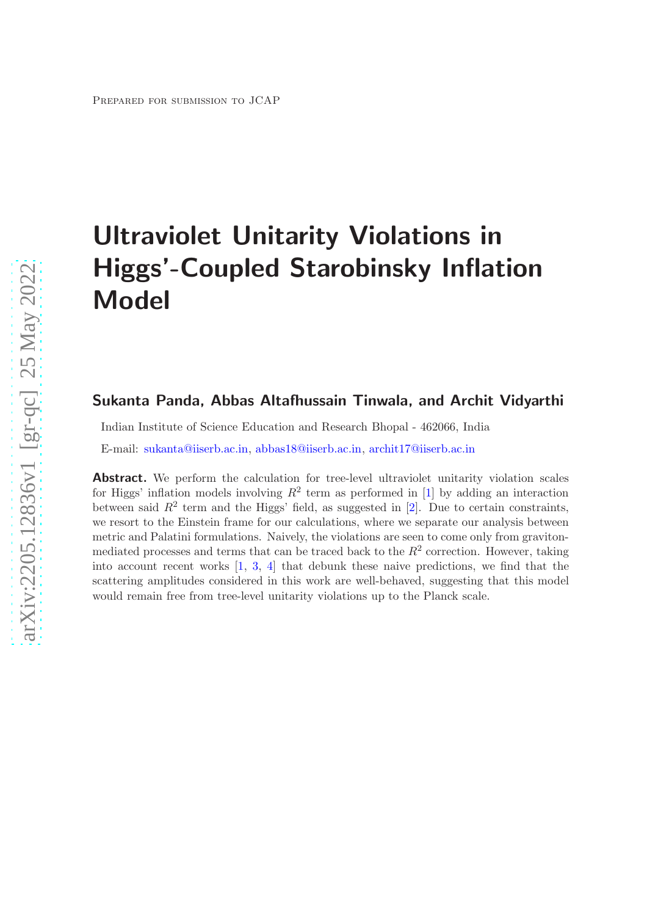# Ultraviolet Unitarity Violations in Higgs'-Coupled Starobinsky Inflation Model

# Sukanta Panda, Abbas Altafhussain Tinwala, and Archit Vidyarthi

Indian Institute of Science Education and Research Bhopal - 462066, India

E-mail: [sukanta@iiserb.ac.in,](mailto:sukanta@iiserb.ac.in) [abbas18@iiserb.ac.in,](mailto:abbas18@iiserb.ac.in) [archit17@iiserb.ac.in](mailto:archit17@iiserb.ac.in)

Abstract. We perform the calculation for tree-level ultraviolet unitarity violation scales for Higgs' inflation models involving  $R^2$  term as performed in [\[1\]](#page-19-0) by adding an interaction between said  $R^2$  term and the Higgs' field, as suggested in [\[2\]](#page-19-1). Due to certain constraints, we resort to the Einstein frame for our calculations, where we separate our analysis between metric and Palatini formulations. Naively, the violations are seen to come only from gravitonmediated processes and terms that can be traced back to the  $R^2$  correction. However, taking into account recent works [\[1](#page-19-0), [3,](#page-19-2) [4](#page-19-3)] that debunk these naive predictions, we find that the scattering amplitudes considered in this work are well-behaved, suggesting that this model would remain free from tree-level unitarity violations up to the Planck scale.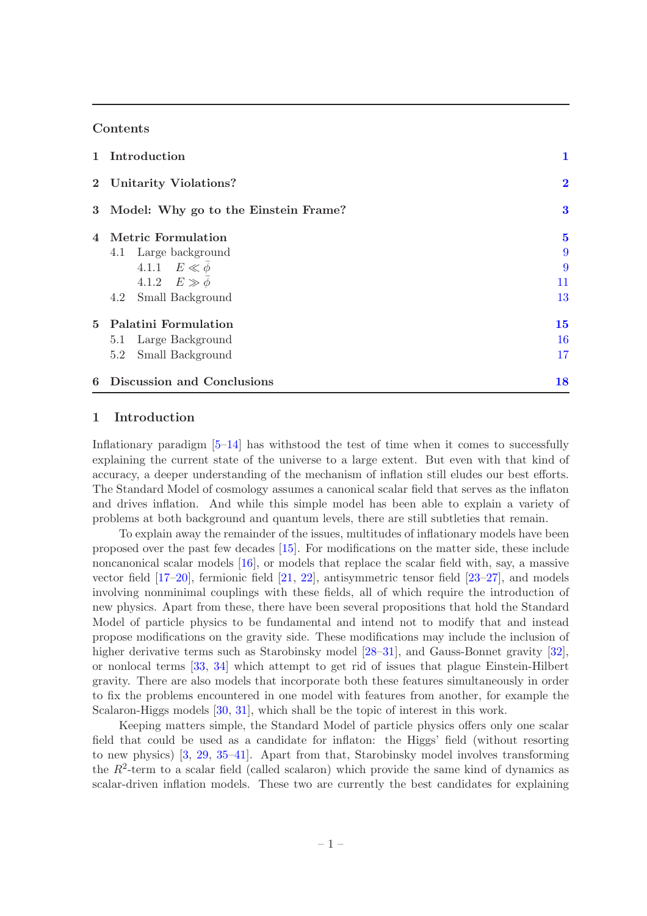# **Contents**

| 1 Introduction                         | 1        |
|----------------------------------------|----------|
| 2 Unitarity Violations?                | $\bf{2}$ |
| 3 Model: Why go to the Einstein Frame? | 3        |
| 4 Metric Formulation                   | $\bf{5}$ |
| 4.1 Large background                   | 9        |
| 4.1.1 $E \ll \overline{\phi}$          | 9        |
| 4.1.2 $E \gg \overline{\phi}$          | 11       |
| 4.2 Small Background                   | 13       |
| 5 Palatini Formulation                 | 15       |
| 5.1 Large Background                   | 16       |
| 5.2 Small Background                   | 17       |
| 6 Discussion and Conclusions           | 18       |

# <span id="page-1-0"></span>1 Introduction

Inflationary paradigm  $[5-14]$  has withstood the test of time when it comes to successfully explaining the current state of the universe to a large extent. But even with that kind of accuracy, a deeper understanding of the mechanism of inflation still eludes our best efforts. The Standard Model of cosmology assumes a canonical scalar field that serves as the inflaton and drives inflation. And while this simple model has been able to explain a variety of problems at both background and quantum levels, there are still subtleties that remain.

To explain away the remainder of the issues, multitudes of inflationary models have been proposed over the past few decades [\[15](#page-20-1)]. For modifications on the matter side, these include noncanonical scalar models [\[16\]](#page-20-2), or models that replace the scalar field with, say, a massive vector field [\[17](#page-20-3)[–20\]](#page-20-4), fermionic field [\[21](#page-20-5), [22\]](#page-20-6), antisymmetric tensor field [\[23](#page-20-7)[–27](#page-20-8)], and models involving nonminimal couplings with these fields, all of which require the introduction of new physics. Apart from these, there have been several propositions that hold the Standard Model of particle physics to be fundamental and intend not to modify that and instead propose modifications on the gravity side. These modifications may include the inclusion of higher derivative terms such as Starobinsky model [\[28](#page-20-9)[–31](#page-21-0)], and Gauss-Bonnet gravity [\[32](#page-21-1)], or nonlocal terms [\[33](#page-21-2), [34](#page-21-3)] which attempt to get rid of issues that plague Einstein-Hilbert gravity. There are also models that incorporate both these features simultaneously in order to fix the problems encountered in one model with features from another, for example the Scalaron-Higgs models [\[30](#page-21-4), [31](#page-21-0)], which shall be the topic of interest in this work.

Keeping matters simple, the Standard Model of particle physics offers only one scalar field that could be used as a candidate for inflaton: the Higgs' field (without resorting to new physics) [\[3](#page-19-2), [29,](#page-20-10) [35](#page-21-5)[–41](#page-21-6)]. Apart from that, Starobinsky model involves transforming the  $R^2$ -term to a scalar field (called scalaron) which provide the same kind of dynamics as scalar-driven inflation models. These two are currently the best candidates for explaining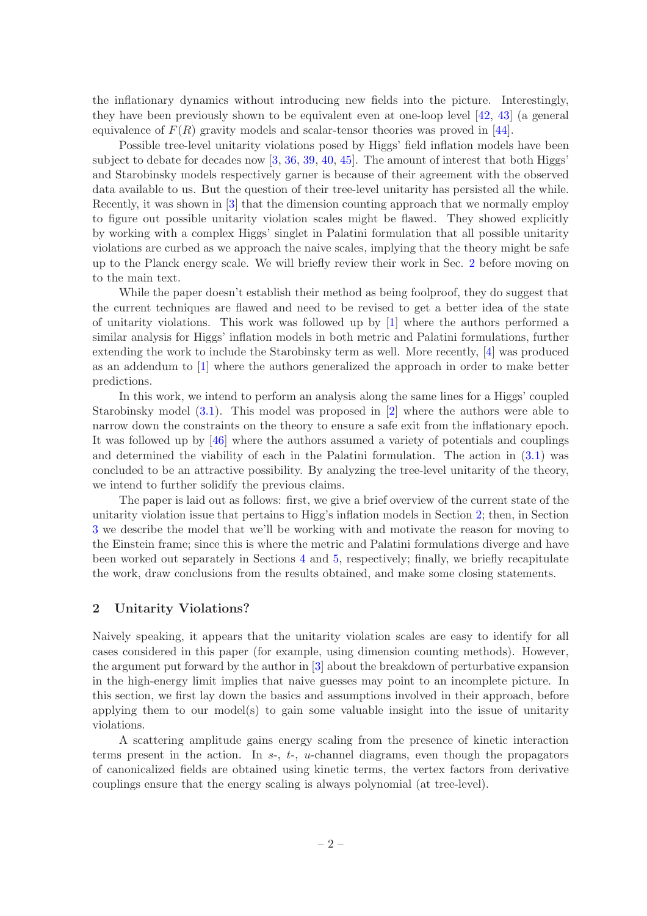the inflationary dynamics without introducing new fields into the picture. Interestingly, they have been previously shown to be equivalent even at one-loop level [\[42,](#page-21-7) [43\]](#page-21-8) (a general equivalence of  $F(R)$  gravity models and scalar-tensor theories was proved in [\[44](#page-21-9)].

Possible tree-level unitarity violations posed by Higgs' field inflation models have been subject to debate for decades now [\[3,](#page-19-2) [36,](#page-21-10) [39,](#page-21-11) [40,](#page-21-12) [45\]](#page-21-13). The amount of interest that both Higgs' and Starobinsky models respectively garner is because of their agreement with the observed data available to us. But the question of their tree-level unitarity has persisted all the while. Recently, it was shown in [\[3](#page-19-2)] that the dimension counting approach that we normally employ to figure out possible unitarity violation scales might be flawed. They showed explicitly by working with a complex Higgs' singlet in Palatini formulation that all possible unitarity violations are curbed as we approach the naive scales, implying that the theory might be safe up to the Planck energy scale. We will briefly review their work in Sec. [2](#page-2-0) before moving on to the main text.

While the paper doesn't establish their method as being foolproof, they do suggest that the current techniques are flawed and need to be revised to get a better idea of the state of unitarity violations. This work was followed up by [\[1](#page-19-0)] where the authors performed a similar analysis for Higgs' inflation models in both metric and Palatini formulations, further extending the work to include the Starobinsky term as well. More recently, [\[4](#page-19-3)] was produced as an addendum to [\[1\]](#page-19-0) where the authors generalized the approach in order to make better predictions.

In this work, we intend to perform an analysis along the same lines for a Higgs' coupled Starobinsky model [\(3.1\)](#page-3-1). This model was proposed in [\[2](#page-19-1)] where the authors were able to narrow down the constraints on the theory to ensure a safe exit from the inflationary epoch. It was followed up by [\[46](#page-21-14)] where the authors assumed a variety of potentials and couplings and determined the viability of each in the Palatini formulation. The action in [\(3.1\)](#page-3-1) was concluded to be an attractive possibility. By analyzing the tree-level unitarity of the theory, we intend to further solidify the previous claims.

The paper is laid out as follows: first, we give a brief overview of the current state of the unitarity violation issue that pertains to Higg's inflation models in Section [2;](#page-2-0) then, in Section [3](#page-3-0) we describe the model that we'll be working with and motivate the reason for moving to the Einstein frame; since this is where the metric and Palatini formulations diverge and have been worked out separately in Sections [4](#page-5-0) and [5,](#page-15-0) respectively; finally, we briefly recapitulate the work, draw conclusions from the results obtained, and make some closing statements.

# <span id="page-2-0"></span>2 Unitarity Violations?

Naively speaking, it appears that the unitarity violation scales are easy to identify for all cases considered in this paper (for example, using dimension counting methods). However, the argument put forward by the author in [\[3](#page-19-2)] about the breakdown of perturbative expansion in the high-energy limit implies that naive guesses may point to an incomplete picture. In this section, we first lay down the basics and assumptions involved in their approach, before applying them to our model(s) to gain some valuable insight into the issue of unitarity violations.

A scattering amplitude gains energy scaling from the presence of kinetic interaction terms present in the action. In  $s<sub>-, t<sub>-</sub></sub>$ , u-channel diagrams, even though the propagators of canonicalized fields are obtained using kinetic terms, the vertex factors from derivative couplings ensure that the energy scaling is always polynomial (at tree-level).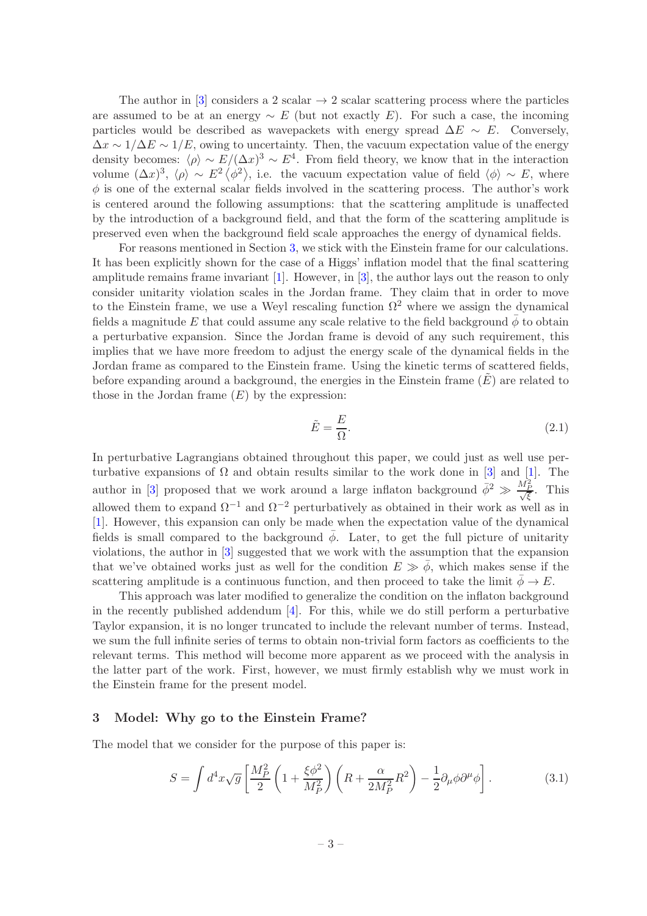The author in [\[3\]](#page-19-2) considers a 2 scalar  $\rightarrow$  2 scalar scattering process where the particles are assumed to be at an energy  $~\sim~ E$  (but not exactly E). For such a case, the incoming particles would be described as wavepackets with energy spread  $\Delta E \sim E$ . Conversely,  $\Delta x \sim 1/\Delta E \sim 1/E$ , owing to uncertainty. Then, the vacuum expectation value of the energy density becomes:  $\langle \rho \rangle \sim E/(\Delta x)^3 \sim E^4$ . From field theory, we know that in the interaction volume  $(\Delta x)^3$ ,  $\langle \rho \rangle \sim E^2 \langle \phi^2 \rangle$ , i.e. the vacuum expectation value of field  $\langle \phi \rangle \sim E$ , where  $\phi$  is one of the external scalar fields involved in the scattering process. The author's work is centered around the following assumptions: that the scattering amplitude is unaffected by the introduction of a background field, and that the form of the scattering amplitude is preserved even when the background field scale approaches the energy of dynamical fields.

For reasons mentioned in Section [3,](#page-3-0) we stick with the Einstein frame for our calculations. It has been explicitly shown for the case of a Higgs' inflation model that the final scattering amplitude remains frame invariant  $[1]$ . However, in  $[3]$ , the author lays out the reason to only consider unitarity violation scales in the Jordan frame. They claim that in order to move to the Einstein frame, we use a Weyl rescaling function  $\Omega^2$  where we assign the dynamical fields a magnitude E that could assume any scale relative to the field background  $\bar{\phi}$  to obtain a perturbative expansion. Since the Jordan frame is devoid of any such requirement, this implies that we have more freedom to adjust the energy scale of the dynamical fields in the Jordan frame as compared to the Einstein frame. Using the kinetic terms of scattered fields, before expanding around a background, the energies in the Einstein frame  $(E)$  are related to those in the Jordan frame  $(E)$  by the expression:

$$
\tilde{E} = \frac{E}{\Omega}.\tag{2.1}
$$

In perturbative Lagrangians obtained throughout this paper, we could just as well use perturbative expansions of  $\Omega$  and obtain results similar to the work done in [\[3](#page-19-2)] and [\[1](#page-19-0)]. The author in [\[3](#page-19-2)] proposed that we work around a large inflaton background  $\bar{\phi}^2 \gg \frac{\dot{M}_P^2}{\sqrt{\xi}}$ . This allowed them to expand  $\Omega^{-1}$  and  $\Omega^{-2}$  perturbatively as obtained in their work as well as in [\[1](#page-19-0)]. However, this expansion can only be made when the expectation value of the dynamical fields is small compared to the background  $\phi$ . Later, to get the full picture of unitarity violations, the author in [\[3\]](#page-19-2) suggested that we work with the assumption that the expansion that we've obtained works just as well for the condition  $E \gg \bar{\phi}$ , which makes sense if the scattering amplitude is a continuous function, and then proceed to take the limit  $\bar{\phi} \to E$ .

This approach was later modified to generalize the condition on the inflaton background in the recently published addendum [\[4](#page-19-3)]. For this, while we do still perform a perturbative Taylor expansion, it is no longer truncated to include the relevant number of terms. Instead, we sum the full infinite series of terms to obtain non-trivial form factors as coefficients to the relevant terms. This method will become more apparent as we proceed with the analysis in the latter part of the work. First, however, we must firmly establish why we must work in the Einstein frame for the present model.

## <span id="page-3-0"></span>3 Model: Why go to the Einstein Frame?

The model that we consider for the purpose of this paper is:

<span id="page-3-1"></span>
$$
S = \int d^4x \sqrt{g} \left[ \frac{M_P^2}{2} \left( 1 + \frac{\xi \phi^2}{M_P^2} \right) \left( R + \frac{\alpha}{2M_P^2} R^2 \right) - \frac{1}{2} \partial_\mu \phi \partial^\mu \phi \right].
$$
 (3.1)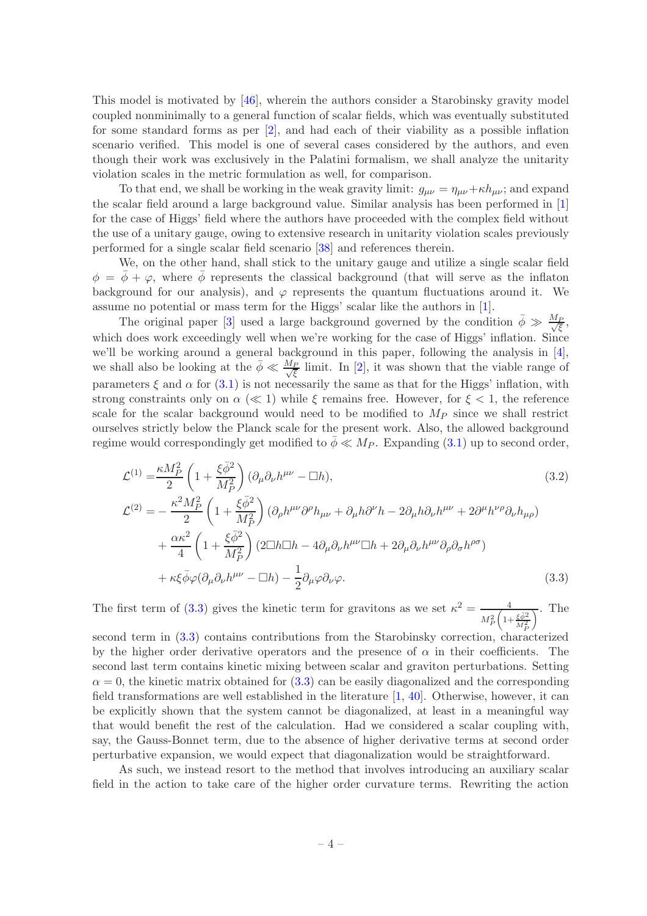This model is motivated by [\[46\]](#page-21-14), wherein the authors consider a Starobinsky gravity model coupled nonminimally to a general function of scalar fields, which was eventually substituted for some standard forms as per [\[2\]](#page-19-1), and had each of their viability as a possible inflation scenario verified. This model is one of several cases considered by the authors, and even though their work was exclusively in the Palatini formalism, we shall analyze the unitarity violation scales in the metric formulation as well, for comparison.

To that end, we shall be working in the weak gravity limit:  $g_{\mu\nu} = \eta_{\mu\nu} + \kappa h_{\mu\nu}$ ; and expand the scalar field around a large background value. Similar analysis has been performed in [\[1](#page-19-0)] for the case of Higgs' field where the authors have proceeded with the complex field without the use of a unitary gauge, owing to extensive research in unitarity violation scales previously performed for a single scalar field scenario [\[38\]](#page-21-15) and references therein.

We, on the other hand, shall stick to the unitary gauge and utilize a single scalar field  $\phi = \bar{\phi} + \varphi$ , where  $\bar{\phi}$  represents the classical background (that will serve as the inflaton background for our analysis), and  $\varphi$  represents the quantum fluctuations around it. We assume no potential or mass term for the Higgs' scalar like the authors in [\[1](#page-19-0)].

The original paper [\[3](#page-19-2)] used a large background governed by the condition  $\bar{\phi} \gg \frac{M_P}{\sqrt{\xi}}$ , which does work exceedingly well when we're working for the case of Higgs' inflation. Since we'll be working around a general background in this paper, following the analysis in [\[4](#page-19-3)], we shall also be looking at the  $\bar{\phi} \ll \frac{M_P}{\sqrt{\xi}}$  limit. In [\[2\]](#page-19-1), it was shown that the viable range of parameters  $\xi$  and  $\alpha$  for [\(3.1\)](#page-3-1) is not necessarily the same as that for the Higgs' inflation, with strong constraints only on  $\alpha \ll 1$ ) while  $\xi$  remains free. However, for  $\xi \ll 1$ , the reference scale for the scalar background would need to be modified to  $M_P$  since we shall restrict ourselves strictly below the Planck scale for the present work. Also, the allowed background regime would correspondingly get modified to  $\bar{\phi} \ll M_P$ . Expanding [\(3.1\)](#page-3-1) up to second order,

<span id="page-4-0"></span>
$$
\mathcal{L}^{(1)} = \frac{\kappa M_P^2}{2} \left( 1 + \frac{\xi \bar{\phi}^2}{M_P^2} \right) (\partial_\mu \partial_\nu h^{\mu\nu} - \Box h),
$$
\n
$$
\mathcal{L}^{(2)} = -\frac{\kappa^2 M_P^2}{2} \left( 1 + \frac{\xi \bar{\phi}^2}{M_P^2} \right) (\partial_\rho h^{\mu\nu} \partial^\rho h_{\mu\nu} + \partial_\mu h \partial^\nu h - 2 \partial_\mu h \partial_\nu h^{\mu\nu} + 2 \partial^\mu h^{\nu\rho} \partial_\nu h_{\mu\rho})
$$
\n
$$
+ \frac{\alpha \kappa^2}{4} \left( 1 + \frac{\xi \bar{\phi}^2}{M_P^2} \right) (2 \Box h \Box h - 4 \partial_\mu \partial_\nu h^{\mu\nu} \Box h + 2 \partial_\mu \partial_\nu h^{\mu\nu} \partial_\rho \partial_\sigma h^{\rho\sigma})
$$
\n
$$
+ \kappa \xi \bar{\phi} \varphi (\partial_\mu \partial_\nu h^{\mu\nu} - \Box h) - \frac{1}{2} \partial_\mu \varphi \partial_\nu \varphi.
$$
\n(3.3)

The first term of [\(3.3\)](#page-4-0) gives the kinetic term for gravitons as we set  $\kappa^2 = \frac{4}{\sqrt{3}}$  $M_P^2 \bigg( 1 + \frac{\xi \bar{\phi}^2}{M_P^2}$  $\overline{\wedge}$ . The

second term in [\(3.3\)](#page-4-0) contains contributions from the Starobinsky correction, characterized by the higher order derivative operators and the presence of  $\alpha$  in their coefficients. The second last term contains kinetic mixing between scalar and graviton perturbations. Setting  $\alpha = 0$ , the kinetic matrix obtained for  $(3.3)$  can be easily diagonalized and the corresponding field transformations are well established in the literature [\[1](#page-19-0), [40](#page-21-12)]. Otherwise, however, it can be explicitly shown that the system cannot be diagonalized, at least in a meaningful way that would benefit the rest of the calculation. Had we considered a scalar coupling with, say, the Gauss-Bonnet term, due to the absence of higher derivative terms at second order perturbative expansion, we would expect that diagonalization would be straightforward.

As such, we instead resort to the method that involves introducing an auxiliary scalar field in the action to take care of the higher order curvature terms. Rewriting the action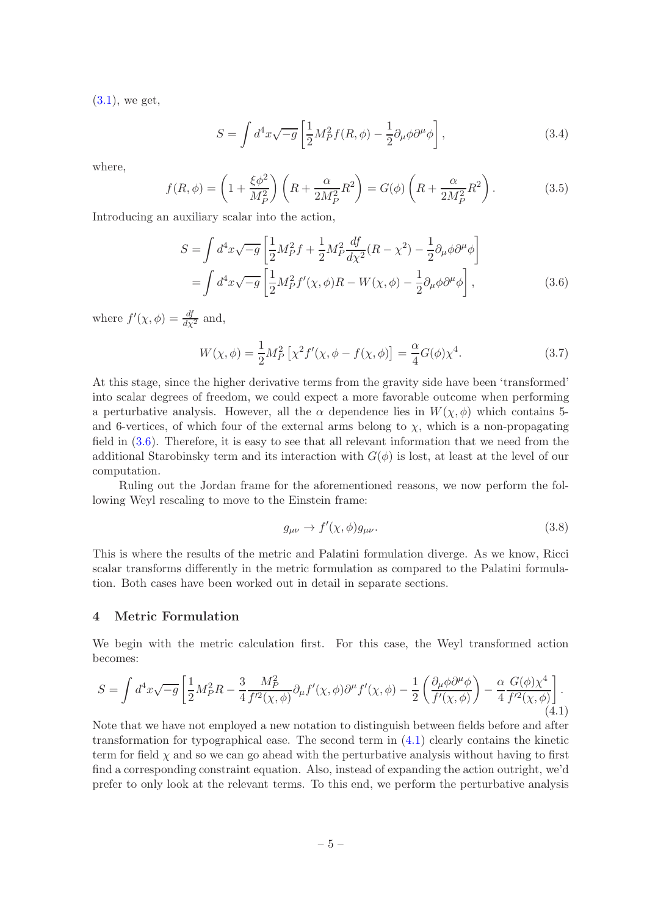[\(3.1\)](#page-3-1), we get,

$$
S = \int d^4x \sqrt{-g} \left[ \frac{1}{2} M_P^2 f(R, \phi) - \frac{1}{2} \partial_\mu \phi \partial^\mu \phi \right],
$$
 (3.4)

where,

$$
f(R,\phi) = \left(1 + \frac{\xi \phi^2}{M_P^2}\right) \left(R + \frac{\alpha}{2M_P^2} R^2\right) = G(\phi) \left(R + \frac{\alpha}{2M_P^2} R^2\right). \tag{3.5}
$$

Introducing an auxiliary scalar into the action,

$$
S = \int d^4x \sqrt{-g} \left[ \frac{1}{2} M_P^2 f + \frac{1}{2} M_P^2 \frac{df}{d\chi^2} (R - \chi^2) - \frac{1}{2} \partial_\mu \phi \partial^\mu \phi \right]
$$
  
= 
$$
\int d^4x \sqrt{-g} \left[ \frac{1}{2} M_P^2 f'(\chi, \phi) R - W(\chi, \phi) - \frac{1}{2} \partial_\mu \phi \partial^\mu \phi \right],
$$
(3.6)

where  $f'(\chi, \phi) = \frac{df}{d\chi^2}$  and,

<span id="page-5-1"></span>
$$
W(\chi,\phi) = \frac{1}{2}M_P^2 [\chi^2 f'(\chi,\phi - f(\chi,\phi)] = \frac{\alpha}{4}G(\phi)\chi^4.
$$
 (3.7)

At this stage, since the higher derivative terms from the gravity side have been 'transformed' into scalar degrees of freedom, we could expect a more favorable outcome when performing a perturbative analysis. However, all the  $\alpha$  dependence lies in  $W(\chi,\phi)$  which contains 5and 6-vertices, of which four of the external arms belong to  $\chi$ , which is a non-propagating field in [\(3.6\)](#page-5-1). Therefore, it is easy to see that all relevant information that we need from the additional Starobinsky term and its interaction with  $G(\phi)$  is lost, at least at the level of our computation.

Ruling out the Jordan frame for the aforementioned reasons, we now perform the following Weyl rescaling to move to the Einstein frame:

$$
g_{\mu\nu} \to f'(\chi,\phi)g_{\mu\nu}.\tag{3.8}
$$

This is where the results of the metric and Palatini formulation diverge. As we know, Ricci scalar transforms differently in the metric formulation as compared to the Palatini formulation. Both cases have been worked out in detail in separate sections.

## <span id="page-5-0"></span>4 Metric Formulation

We begin with the metric calculation first. For this case, the Weyl transformed action becomes:

<span id="page-5-2"></span>
$$
S = \int d^4x \sqrt{-g} \left[ \frac{1}{2} M_P^2 R - \frac{3}{4} \frac{M_P^2}{f'^2(\chi, \phi)} \partial_\mu f'(\chi, \phi) \partial^\mu f'(\chi, \phi) - \frac{1}{2} \left( \frac{\partial_\mu \phi \partial^\mu \phi}{f'(\chi, \phi)} \right) - \frac{\alpha}{4} \frac{G(\phi) \chi^4}{f'^2(\chi, \phi)} \right].
$$
\n(4.1)

Note that we have not employed a new notation to distinguish between fields before and after transformation for typographical ease. The second term in [\(4.1\)](#page-5-2) clearly contains the kinetic term for field  $\chi$  and so we can go ahead with the perturbative analysis without having to first find a corresponding constraint equation. Also, instead of expanding the action outright, we'd prefer to only look at the relevant terms. To this end, we perform the perturbative analysis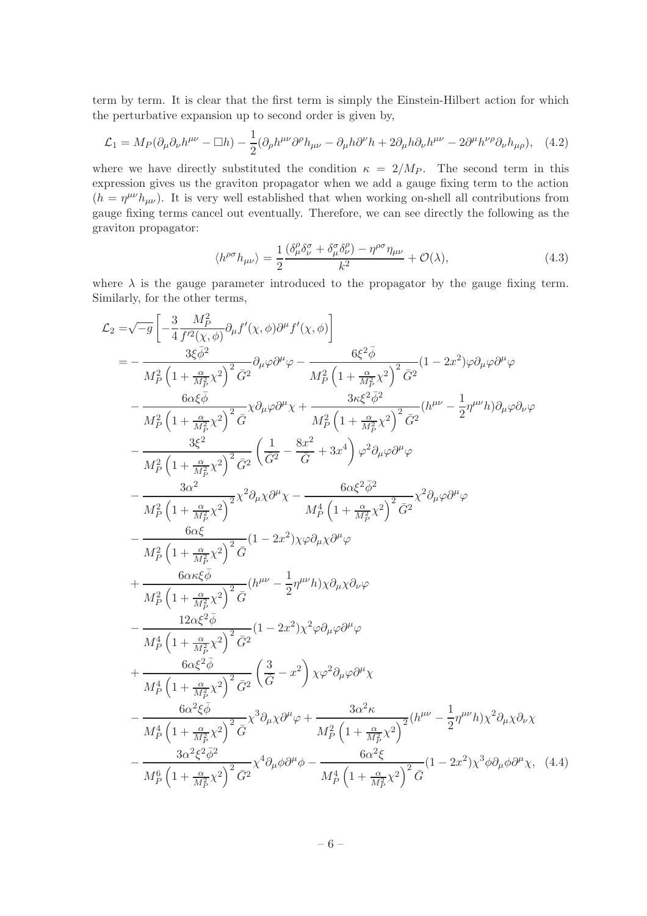term by term. It is clear that the first term is simply the Einstein-Hilbert action for which the perturbative expansion up to second order is given by,

<span id="page-6-0"></span>
$$
\mathcal{L}_1 = M_P(\partial_\mu \partial_\nu h^{\mu\nu} - \Box h) - \frac{1}{2} (\partial_\rho h^{\mu\nu} \partial^\rho h_{\mu\nu} - \partial_\mu h \partial^\nu h + 2 \partial_\mu h \partial_\nu h^{\mu\nu} - 2 \partial^\mu h^{\nu\rho} \partial_\nu h_{\mu\rho}), \quad (4.2)
$$

where we have directly substituted the condition  $\kappa = 2/M_P$ . The second term in this expression gives us the graviton propagator when we add a gauge fixing term to the action  $(h = \eta^{\mu\nu}h_{\mu\nu})$ . It is very well established that when working on-shell all contributions from gauge fixing terms cancel out eventually. Therefore, we can see directly the following as the graviton propagator:

<span id="page-6-2"></span><span id="page-6-1"></span>
$$
\langle h^{\rho\sigma} h_{\mu\nu} \rangle = \frac{1}{2} \frac{(\delta^{\rho}_{\mu} \delta^{\sigma}_{\nu} + \delta^{\sigma}_{\mu} \delta^{\rho}_{\nu}) - \eta^{\rho\sigma} \eta_{\mu\nu}}{k^2} + \mathcal{O}(\lambda), \tag{4.3}
$$

where  $\lambda$  is the gauge parameter introduced to the propagator by the gauge fixing term. Similarly, for the other terms,

$$
\mathcal{L}_{2} = \sqrt{-g} \left[ -\frac{3}{4} \frac{M_{P}^{2}}{f^{\prime 2}(\chi,\phi)} \partial_{\mu} f^{\prime}(\chi,\phi) \partial^{\mu} f^{\prime}(\chi,\phi) \right]
$$
\n
$$
= -\frac{3\xi\bar{\phi}^{2}}{M_{P}^{2} \left( 1 + \frac{\alpha}{M_{P}^{2}} \chi^{2} \right)^{2} \bar{G}^{2}} \partial_{\mu} \varphi \partial^{\mu} \varphi - \frac{6\xi^{2}\bar{\phi}}{M_{P}^{2} \left( 1 + \frac{\alpha}{M_{P}^{2}} \chi^{2} \right)^{2} \bar{G}^{2}}}{M_{P}^{2} \left( 1 + \frac{\alpha}{M_{P}^{2}} \chi^{2} \right)^{2} \bar{G}} \chi \partial_{\mu} \varphi \partial^{\mu} \chi + \frac{3\kappa\xi^{2}\bar{\phi}^{2}}{M_{P}^{2} \left( 1 + \frac{\alpha}{M_{P}^{2}} \chi^{2} \right)^{2} \bar{G}^{2}} (h^{\mu\nu} - \frac{1}{2} \eta^{\mu\nu} h) \partial_{\mu} \varphi \partial_{\nu} \varphi
$$
\n
$$
- \frac{3\xi^{2}}{M_{P}^{2} \left( 1 + \frac{\alpha}{M_{P}^{2}} \chi^{2} \right)^{2} \bar{G}^{2}} \left( \frac{1}{\bar{G}^{2}} - \frac{8x^{2}}{\bar{G}} + 3x^{4} \right) \varphi^{2} \partial_{\mu} \varphi \partial^{\mu} \varphi
$$
\n
$$
- \frac{3\alpha^{2}}{M_{P}^{2} \left( 1 + \frac{\alpha}{M_{P}^{2}} \chi^{2} \right)^{2} \bar{G}^{2}} \left( 1 - 2x^{2} \right) \chi \varphi \partial_{\mu} \chi \partial^{\mu} \varphi
$$
\n
$$
- \frac{6\alpha\xi}{M_{P}^{2} \left( 1 + \frac{\alpha}{M_{P}^{2}} \chi^{2} \right)^{2} \bar{G}} (1 - 2x^{2}) \chi \varphi \partial_{\mu} \chi \partial^{\mu} \varphi
$$
\n
$$
+ \frac{6\alpha\kappa\xi\bar{\phi}}{M_{P}^{2} \left
$$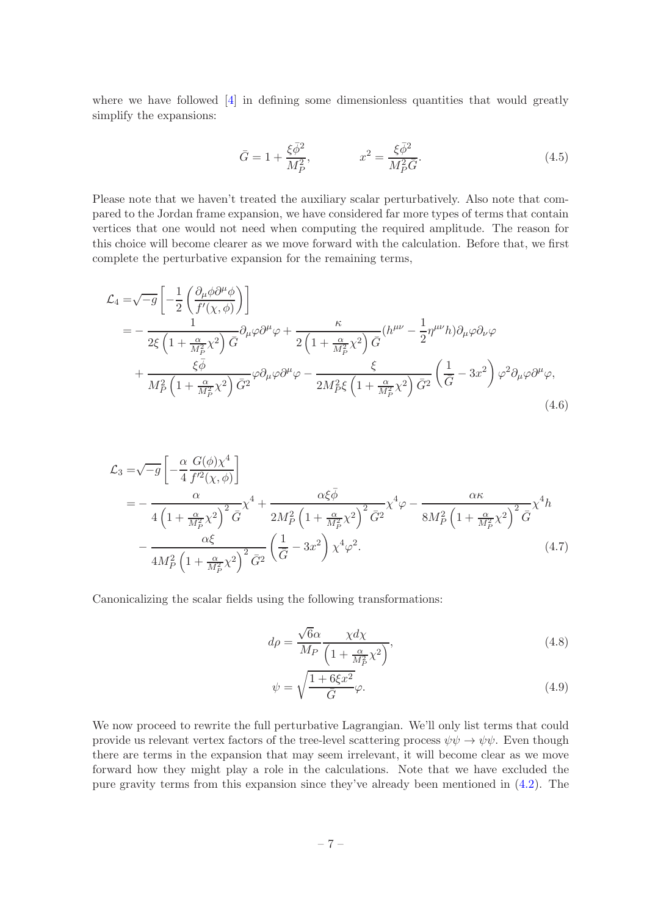where we have followed [\[4](#page-19-3)] in defining some dimensionless quantities that would greatly simplify the expansions:

$$
\bar{G} = 1 + \frac{\xi \bar{\phi}^2}{M_P^2}, \qquad x^2 = \frac{\xi \bar{\phi}^2}{M_P^2 \bar{G}}.
$$
\n(4.5)

Please note that we haven't treated the auxiliary scalar perturbatively. Also note that compared to the Jordan frame expansion, we have considered far more types of terms that contain vertices that one would not need when computing the required amplitude. The reason for this choice will become clearer as we move forward with the calculation. Before that, we first complete the perturbative expansion for the remaining terms,

$$
\mathcal{L}_{4} = \sqrt{-g} \left[ -\frac{1}{2} \left( \frac{\partial_{\mu} \phi \partial^{\mu} \phi}{f'(\chi, \phi)} \right) \right]
$$
\n
$$
= -\frac{1}{2\xi \left( 1 + \frac{\alpha}{M_{P}^{2}} \chi^{2} \right) \bar{G}} \partial_{\mu} \varphi \partial^{\mu} \varphi + \frac{\kappa}{2 \left( 1 + \frac{\alpha}{M_{P}^{2}} \chi^{2} \right) \bar{G}} (h^{\mu \nu} - \frac{1}{2} \eta^{\mu \nu} h) \partial_{\mu} \varphi \partial_{\nu} \varphi
$$
\n
$$
+ \frac{\xi \bar{\phi}}{M_{P}^{2} \left( 1 + \frac{\alpha}{M_{P}^{2}} \chi^{2} \right) \bar{G}^{2}} \varphi \partial_{\mu} \varphi \partial^{\mu} \varphi - \frac{\xi}{2M_{P}^{2}\xi \left( 1 + \frac{\alpha}{M_{P}^{2}} \chi^{2} \right) \bar{G}^{2}} \left( \frac{1}{\bar{G}} - 3x^{2} \right) \varphi^{2} \partial_{\mu} \varphi \partial^{\mu} \varphi, \tag{4.6}
$$

$$
\mathcal{L}_{3} = \sqrt{-g} \left[ -\frac{\alpha}{4} \frac{G(\phi) \chi^{4}}{f'^{2}(\chi, \phi)} \right]
$$
\n
$$
= -\frac{\alpha}{4 \left( 1 + \frac{\alpha}{M_{P}^{2}} \chi^{2} \right)^{2} \bar{G}} \chi^{4} + \frac{\alpha \xi \bar{\phi}}{2M_{P}^{2} \left( 1 + \frac{\alpha}{M_{P}^{2}} \chi^{2} \right)^{2} \bar{G}^{2}} \chi^{4} \varphi - \frac{\alpha \kappa}{8M_{P}^{2} \left( 1 + \frac{\alpha}{M_{P}^{2}} \chi^{2} \right)^{2} \bar{G}} \chi^{4} h
$$
\n
$$
- \frac{\alpha \xi}{4M_{P}^{2} \left( 1 + \frac{\alpha}{M_{P}^{2}} \chi^{2} \right)^{2} \bar{G}^{2}} \left( \frac{1}{\bar{G}} - 3x^{2} \right) \chi^{4} \varphi^{2}.
$$
\n(4.7)

Canonicalizing the scalar fields using the following transformations:

<span id="page-7-1"></span><span id="page-7-0"></span>
$$
d\rho = \frac{\sqrt{6}\alpha}{M_P} \frac{\chi d\chi}{\left(1 + \frac{\alpha}{M_P^2} \chi^2\right)},\tag{4.8}
$$

$$
\psi = \sqrt{\frac{1 + 6\xi x^2}{\bar{G}}}\varphi.
$$
\n(4.9)

We now proceed to rewrite the full perturbative Lagrangian. We'll only list terms that could provide us relevant vertex factors of the tree-level scattering process  $\psi \psi \to \psi \psi$ . Even though there are terms in the expansion that may seem irrelevant, it will become clear as we move forward how they might play a role in the calculations. Note that we have excluded the pure gravity terms from this expansion since they've already been mentioned in [\(4.2\)](#page-6-0). The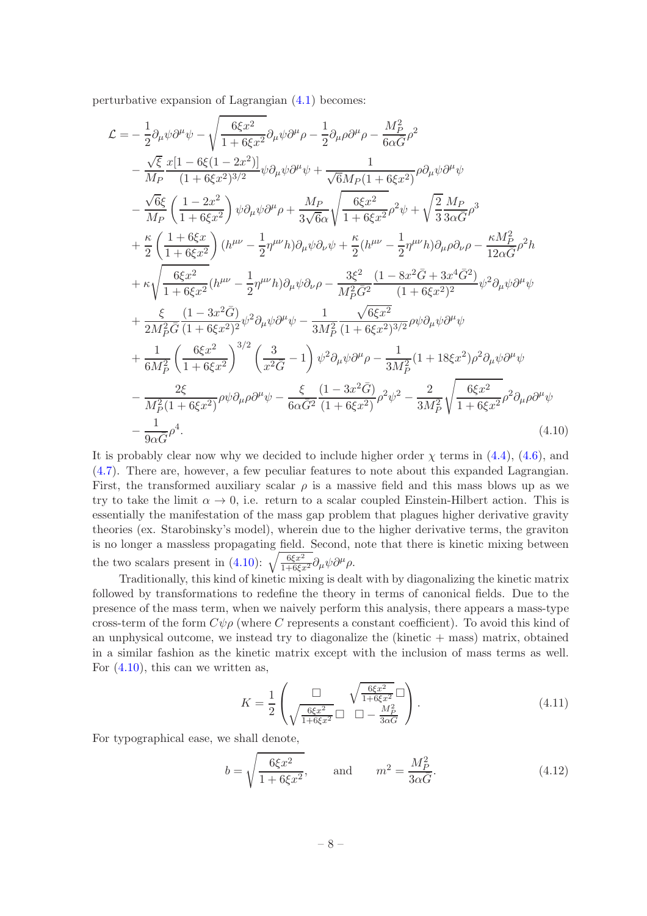perturbative expansion of Lagrangian [\(4.1\)](#page-5-2) becomes:

$$
\mathcal{L} = -\frac{1}{2} \partial_{\mu} \psi \partial^{\mu} \psi - \sqrt{\frac{6\xi x^2}{1 + 6\xi x^2}} \partial_{\mu} \psi \partial^{\mu} \rho - \frac{1}{2} \partial_{\mu} \rho \partial^{\mu} \rho - \frac{M_P^2}{6\alpha \bar{G}} \rho^2 \n- \frac{\sqrt{\xi}}{M_P} \frac{x[1 - 6\xi(1 - 2x^2)]}{(1 + 6\xi x^2)^{3/2}} \psi \partial_{\mu} \psi \partial^{\mu} \psi + \frac{1}{\sqrt{6}M_P(1 + 6\xi x^2)} \rho \partial_{\mu} \psi \partial^{\mu} \psi \n- \frac{\sqrt{6}\xi}{M_P} \left( \frac{1 - 2x^2}{1 + 6\xi x^2} \right) \psi \partial_{\mu} \psi \partial^{\mu} \rho + \frac{M_P}{3\sqrt{6}\alpha} \sqrt{\frac{6\xi x^2}{1 + 6\xi x^2}} \rho^2 \psi + \sqrt{\frac{2}{3}} \frac{M_P}{3\alpha \bar{G}} \rho^3 \n+ \frac{\kappa}{2} \left( \frac{1 + 6\xi x}{1 + 6\xi x^2} \right) (h^{\mu\nu} - \frac{1}{2} \eta^{\mu\nu} h) \partial_{\mu} \psi \partial_{\nu} \psi + \frac{\kappa}{2} (h^{\mu\nu} - \frac{1}{2} \eta^{\mu\nu} h) \partial_{\mu} \rho \partial_{\nu} \rho - \frac{\kappa M_P^2}{12\alpha \bar{G}} \rho^2 h \n+ \kappa \sqrt{\frac{6\xi x^2}{1 + 6\xi x^2}} (h^{\mu\nu} - \frac{1}{2} \eta^{\mu\nu} h) \partial_{\mu} \psi \partial_{\nu} \rho - \frac{3\xi^2}{M_P^2 \bar{G}^2} \frac{(1 - 8x^2 \bar{G} + 3x^4 \bar{G}^2)}{(1 + 6\xi x^2)^2} \psi^2 \partial_{\mu} \psi \partial^{\mu} \psi \n+ \frac{\xi}{2M_P^2 \bar{G}} \frac{(1 - 3x^2 \bar{G})}{(1 + 6\xi x^2)^2} \psi^2 \partial_{\mu} \psi \partial^{\mu} \psi - \frac{1}{3M_P^2} \frac{\sqrt{
$$

It is probably clear now why we decided to include higher order  $\chi$  terms in [\(4.4\)](#page-6-1), [\(4.6\)](#page-7-0), and [\(4.7\)](#page-7-1). There are, however, a few peculiar features to note about this expanded Lagrangian. First, the transformed auxiliary scalar  $\rho$  is a massive field and this mass blows up as we try to take the limit  $\alpha \to 0$ , i.e. return to a scalar coupled Einstein-Hilbert action. This is essentially the manifestation of the mass gap problem that plagues higher derivative gravity theories (ex. Starobinsky's model), wherein due to the higher derivative terms, the graviton is no longer a massless propagating field. Second, note that there is kinetic mixing between the two scalars present in [\(4.10\)](#page-8-0):  $\sqrt{\frac{6\xi x^2}{1+6\xi x^2}} \partial_\mu \psi \partial^\mu \rho$ .

Traditionally, this kind of kinetic mixing is dealt with by diagonalizing the kinetic matrix followed by transformations to redefine the theory in terms of canonical fields. Due to the presence of the mass term, when we naively perform this analysis, there appears a mass-type cross-term of the form  $C\psi\rho$  (where C represents a constant coefficient). To avoid this kind of an unphysical outcome, we instead try to diagonalize the (kinetic  $+$  mass) matrix, obtained in a similar fashion as the kinetic matrix except with the inclusion of mass terms as well. For  $(4.10)$ , this can we written as,

<span id="page-8-1"></span><span id="page-8-0"></span>
$$
K = \frac{1}{2} \left( \frac{\Box}{\sqrt{\frac{6\xi x^2}{1 + 6\xi x^2}}} \Box \bigcup_{\Box} \frac{\frac{6\xi x^2}{1 + 6\xi x^2}}{\Box - \frac{M_P^2}{3\alpha G}} \right). \tag{4.11}
$$

For typographical ease, we shall denote,

$$
b = \sqrt{\frac{6\xi x^2}{1 + 6\xi x^2}},
$$
 and  $m^2 = \frac{M_P^2}{3\alpha \bar{G}}.$  (4.12)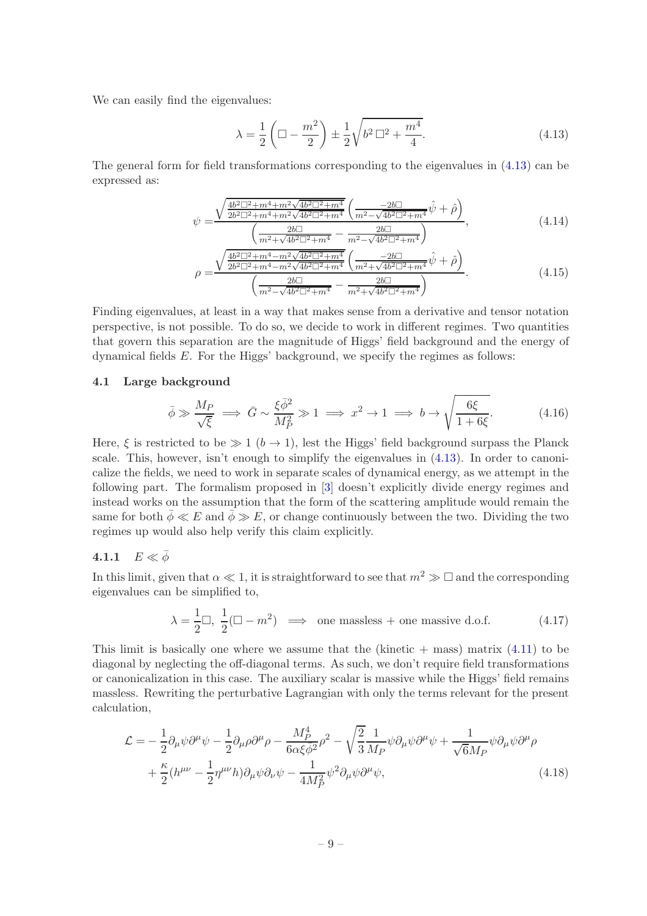We can easily find the eigenvalues:

<span id="page-9-3"></span><span id="page-9-2"></span>
$$
\lambda = \frac{1}{2} \left( \Box - \frac{m^2}{2} \right) \pm \frac{1}{2} \sqrt{b^2 \Box^2 + \frac{m^4}{4}}.
$$
\n(4.13)

The general form for field transformations corresponding to the eigenvalues in [\(4.13\)](#page-9-2) can be expressed as:

$$
\psi = \frac{\sqrt{\frac{4b^2 \Box^2 + m^4 + m^2 \sqrt{4b^2 \Box^2 + m^4}}{2b^2 \Box^2 + m^4 + m^2 \sqrt{4b^2 \Box^2 + m^4}}} \left(\frac{-2b \Box}{m^2 - \sqrt{4b^2 \Box^2 + m^4}} \hat{\psi} + \hat{\rho}\right)}{\left(\frac{2b \Box}{m^2 + \sqrt{4b^2 \Box^2 + m^4}} - \frac{2b \Box}{m^2 - \sqrt{4b^2 \Box^2 + m^4}}\right)},
$$
\n(4.14)

$$
\left(\frac{\overline{m^2 + \sqrt{4b^2 \square^2 + m^4}} - \overline{m^2 - \sqrt{4b^2 \square^2 + m^4}}}{m^2 - \sqrt{4b^2 \square^2 + m^4}}\right)
$$
\n
$$
\rho = \frac{\sqrt{\frac{4b^2 \square^2 + m^4 - m^2 \sqrt{4b^2 \square^2 + m^4}}{2b^2 \square^2 + m^4 - m^2 \sqrt{4b^2 \square^2 + m^4}} \left(\frac{-2b \square}{m^2 + \sqrt{4b^2 \square^2 + m^4}} \hat{\psi} + \hat{\rho}\right)}{\left(\frac{2b \square}{m^2 - \sqrt{4b^2 \square^2 + m^4}} - \frac{2b \square}{m^2 + \sqrt{4b^2 \square^2 + m^4}}\right)}.
$$
\n(4.15)

Finding eigenvalues, at least in a way that makes sense from a derivative and tensor notation perspective, is not possible. To do so, we decide to work in different regimes. Two quantities that govern this separation are the magnitude of Higgs' field background and the energy of dynamical fields  $E$ . For the Higgs' background, we specify the regimes as follows:

# <span id="page-9-0"></span>4.1 Large background

$$
\bar{\phi} \gg \frac{M_P}{\sqrt{\xi}} \implies \bar{G} \sim \frac{\xi \bar{\phi}^2}{M_P^2} \gg 1 \implies x^2 \to 1 \implies b \to \sqrt{\frac{6\xi}{1+6\xi}}.\tag{4.16}
$$

Here,  $\xi$  is restricted to be  $\gg 1$  ( $b \to 1$ ), lest the Higgs' field background surpass the Planck scale. This, however, isn't enough to simplify the eigenvalues in  $(4.13)$ . In order to canonicalize the fields, we need to work in separate scales of dynamical energy, as we attempt in the following part. The formalism proposed in [\[3\]](#page-19-2) doesn't explicitly divide energy regimes and instead works on the assumption that the form of the scattering amplitude would remain the same for both  $\bar{\phi} \ll E$  and  $\bar{\phi} \gg E$ , or change continuously between the two. Dividing the two regimes up would also help verify this claim explicitly.

# <span id="page-9-1"></span>4.1.1  $E \ll \bar{\phi}$

In this limit, given that  $\alpha \ll 1$ , it is straightforward to see that  $m^2 \gg \square$  and the corresponding eigenvalues can be simplified to,

<span id="page-9-5"></span><span id="page-9-4"></span>
$$
\lambda = \frac{1}{2}\Box, \ \frac{1}{2}(\Box - m^2) \implies \text{ one massless + one massive d.o.f.} \tag{4.17}
$$

This limit is basically one where we assume that the (kinetic  $+$  mass) matrix [\(4.11\)](#page-8-1) to be diagonal by neglecting the off-diagonal terms. As such, we don't require field transformations or canonicalization in this case. The auxiliary scalar is massive while the Higgs' field remains massless. Rewriting the perturbative Lagrangian with only the terms relevant for the present calculation,

$$
\mathcal{L} = -\frac{1}{2} \partial_{\mu} \psi \partial^{\mu} \psi - \frac{1}{2} \partial_{\mu} \rho \partial^{\mu} \rho - \frac{M_P^4}{6 \alpha \xi \bar{\phi}^2} \rho^2 - \sqrt{\frac{2}{3}} \frac{1}{M_P} \psi \partial_{\mu} \psi \partial^{\mu} \psi + \frac{1}{\sqrt{6} M_P} \psi \partial_{\mu} \psi \partial^{\mu} \rho + \frac{\kappa}{2} (h^{\mu \nu} - \frac{1}{2} \eta^{\mu \nu} h) \partial_{\mu} \psi \partial_{\nu} \psi - \frac{1}{4 M_P^2} \psi^2 \partial_{\mu} \psi \partial^{\mu} \psi,
$$
\n(4.18)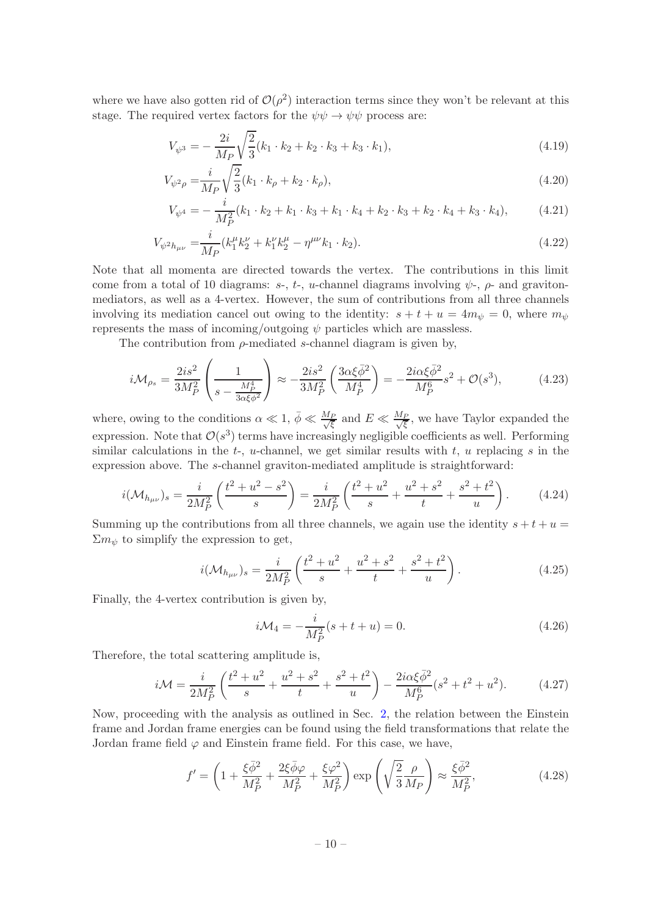where we have also gotten rid of  $\mathcal{O}(\rho^2)$  interaction terms since they won't be relevant at this stage. The required vertex factors for the  $\psi \psi \rightarrow \psi \psi$  process are:

<span id="page-10-2"></span>
$$
V_{\psi^3} = -\frac{2i}{M_P} \sqrt{\frac{2}{3}} (k_1 \cdot k_2 + k_2 \cdot k_3 + k_3 \cdot k_1),\tag{4.19}
$$

$$
V_{\psi^2 \rho} = \frac{i}{M_P} \sqrt{\frac{2}{3}} (k_1 \cdot k_\rho + k_2 \cdot k_\rho),
$$
\n(4.20)

$$
V_{\psi^4} = -\frac{i}{M_P^2} (k_1 \cdot k_2 + k_1 \cdot k_3 + k_1 \cdot k_4 + k_2 \cdot k_3 + k_2 \cdot k_4 + k_3 \cdot k_4), \tag{4.21}
$$

$$
V_{\psi^2 h_{\mu\nu}} = \frac{i}{M_P} (k_1^{\mu} k_2^{\nu} + k_1^{\nu} k_2^{\mu} - \eta^{\mu\nu} k_1 \cdot k_2).
$$
 (4.22)

Note that all momenta are directed towards the vertex. The contributions in this limit come from a total of 10 diagrams: s-, t-, u-channel diagrams involving  $\psi$ -,  $\rho$ - and gravitonmediators, as well as a 4-vertex. However, the sum of contributions from all three channels involving its mediation cancel out owing to the identity:  $s + t + u = 4m_{\psi} = 0$ , where  $m_{\psi}$ represents the mass of incoming/outgoing  $\psi$  particles which are massless.

The contribution from  $\rho$ -mediated s-channel diagram is given by,

$$
i\mathcal{M}_{\rho s} = \frac{2is^2}{3M_P^2} \left( \frac{1}{s - \frac{M_P^4}{3\alpha\xi\phi^2}} \right) \approx -\frac{2is^2}{3M_P^2} \left( \frac{3\alpha\xi\bar{\phi}^2}{M_P^4} \right) = -\frac{2i\alpha\xi\bar{\phi}^2}{M_P^6} s^2 + \mathcal{O}(s^3),\tag{4.23}
$$

where, owing to the conditions  $\alpha \ll 1$ ,  $\bar{\phi} \ll \frac{M_P}{\sqrt{\xi}}$  and  $E \ll \frac{M_P}{\sqrt{\xi}}$ , we have Taylor expanded the expression. Note that  $\mathcal{O}(s^3)$  terms have increasingly negligible coefficients as well. Performing similar calculations in the  $t-$ , u-channel, we get similar results with  $t$ , u replacing  $s$  in the expression above. The s-channel graviton-mediated amplitude is straightforward:

$$
i(\mathcal{M}_{h_{\mu\nu}})_s = \frac{i}{2M_P^2} \left( \frac{t^2 + u^2 - s^2}{s} \right) = \frac{i}{2M_P^2} \left( \frac{t^2 + u^2}{s} + \frac{u^2 + s^2}{t} + \frac{s^2 + t^2}{u} \right). \tag{4.24}
$$

Summing up the contributions from all three channels, we again use the identity  $s + t + u =$  $\Sigma m_{\psi}$  to simplify the expression to get,

$$
i(\mathcal{M}_{h_{\mu\nu}})_s = \frac{i}{2M_P^2} \left( \frac{t^2 + u^2}{s} + \frac{u^2 + s^2}{t} + \frac{s^2 + t^2}{u} \right). \tag{4.25}
$$

Finally, the 4-vertex contribution is given by,

$$
i\mathcal{M}_4 = -\frac{i}{M_P^2}(s+t+u) = 0.
$$
\n(4.26)

Therefore, the total scattering amplitude is,

<span id="page-10-1"></span>
$$
i\mathcal{M} = \frac{i}{2M_P^2} \left( \frac{t^2 + u^2}{s} + \frac{u^2 + s^2}{t} + \frac{s^2 + t^2}{u} \right) - \frac{2i\alpha\xi\bar{\phi}^2}{M_P^6} (s^2 + t^2 + u^2). \tag{4.27}
$$

Now, proceeding with the analysis as outlined in Sec. [2,](#page-2-0) the relation between the Einstein frame and Jordan frame energies can be found using the field transformations that relate the Jordan frame field  $\varphi$  and Einstein frame field. For this case, we have,

<span id="page-10-0"></span>
$$
f' = \left(1 + \frac{\xi \bar{\phi}^2}{M_P^2} + \frac{2\xi \bar{\phi}\varphi}{M_P^2} + \frac{\xi \varphi^2}{M_P^2}\right) \exp\left(\sqrt{\frac{2}{3}} \frac{\rho}{M_P}\right) \approx \frac{\xi \bar{\phi}^2}{M_P^2},\tag{4.28}
$$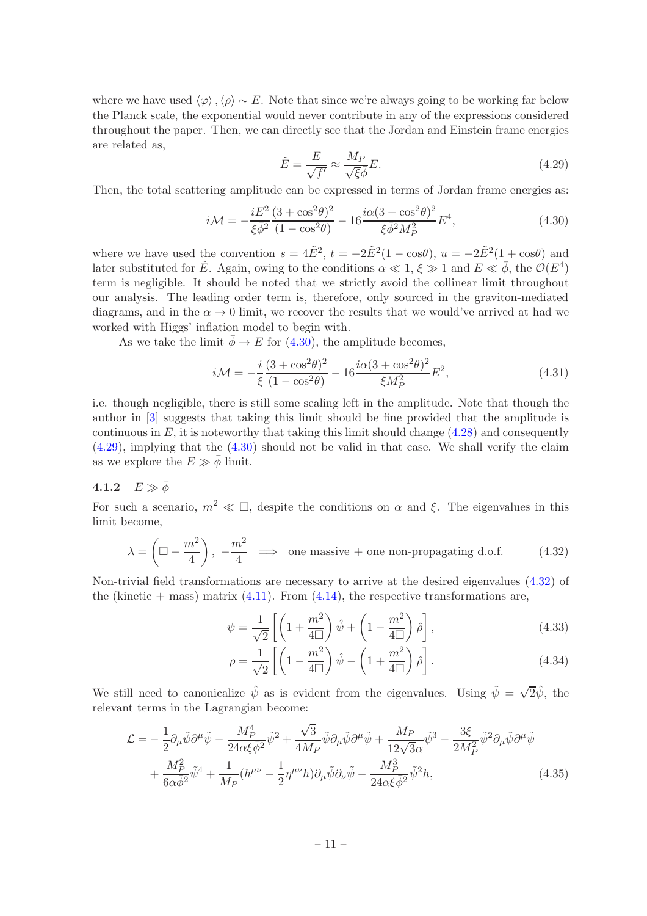where we have used  $\langle \varphi \rangle, \langle \rho \rangle \sim E$ . Note that since we're always going to be working far below the Planck scale, the exponential would never contribute in any of the expressions considered throughout the paper. Then, we can directly see that the Jordan and Einstein frame energies are related as,

<span id="page-11-2"></span>
$$
\tilde{E} = \frac{E}{\sqrt{f'}} \approx \frac{M_P}{\sqrt{\xi}\bar{\phi}} E. \tag{4.29}
$$

Then, the total scattering amplitude can be expressed in terms of Jordan frame energies as:

<span id="page-11-1"></span>
$$
i\mathcal{M} = -\frac{iE^2}{\xi\bar{\phi}^2} \frac{(3 + \cos^2\theta)^2}{(1 - \cos^2\theta)} - 16 \frac{i\alpha(3 + \cos^2\theta)^2}{\xi\bar{\phi}^2 M_P^2} E^4,\tag{4.30}
$$

where we have used the convention  $s = 4E^2$ ,  $t = -2E^2(1 - \cos\theta)$ ,  $u = -2E^2(1 + \cos\theta)$  and later substituted for  $\tilde{E}$ . Again, owing to the conditions  $\alpha \ll 1, \xi \gg 1$  and  $E \ll \bar{\phi}$ , the  $\mathcal{O}(E^4)$ term is negligible. It should be noted that we strictly avoid the collinear limit throughout our analysis. The leading order term is, therefore, only sourced in the graviton-mediated diagrams, and in the  $\alpha \rightarrow 0$  limit, we recover the results that we would've arrived at had we worked with Higgs' inflation model to begin with.

As we take the limit  $\bar{\phi} \rightarrow E$  for [\(4.30\)](#page-11-1), the amplitude becomes,

<span id="page-11-4"></span>
$$
i\mathcal{M} = -\frac{i}{\xi} \frac{(3 + \cos^2 \theta)^2}{(1 - \cos^2 \theta)} - 16 \frac{i\alpha (3 + \cos^2 \theta)^2}{\xi M_P^2} E^2,
$$
\n(4.31)

i.e. though negligible, there is still some scaling left in the amplitude. Note that though the author in [\[3\]](#page-19-2) suggests that taking this limit should be fine provided that the amplitude is continuous in  $E$ , it is noteworthy that taking this limit should change  $(4.28)$  and consequently [\(4.29\)](#page-11-2), implying that the [\(4.30\)](#page-11-1) should not be valid in that case. We shall verify the claim as we explore the  $E \gg \bar{\phi}$  limit.

# <span id="page-11-0"></span>4.1.2  $E \gg \bar{\phi}$

For such a scenario,  $m^2 \ll \Box$ , despite the conditions on  $\alpha$  and  $\xi$ . The eigenvalues in this limit become,

<span id="page-11-3"></span>
$$
\lambda = \left(\square - \frac{m^2}{4}\right), -\frac{m^2}{4} \implies \text{ one massive + one non-propagating d.o.f.} \tag{4.32}
$$

Non-trivial field transformations are necessary to arrive at the desired eigenvalues [\(4.32\)](#page-11-3) of the (kinetic  $+$  mass) matrix [\(4.11\)](#page-8-1). From [\(4.14\)](#page-9-3), the respective transformations are,

$$
\psi = \frac{1}{\sqrt{2}} \left[ \left( 1 + \frac{m^2}{4\Box} \right) \hat{\psi} + \left( 1 - \frac{m^2}{4\Box} \right) \hat{\rho} \right],\tag{4.33}
$$

$$
\rho = \frac{1}{\sqrt{2}} \left[ \left( 1 - \frac{m^2}{4\Box} \right) \hat{\psi} - \left( 1 + \frac{m^2}{4\Box} \right) \hat{\rho} \right]. \tag{4.34}
$$

We still need to canonicalize  $\hat{\psi}$  as is evident from the eigenvalues. Using  $\tilde{\psi} = \sqrt{2}\hat{\psi}$ , the relevant terms in the Lagrangian become:

$$
\mathcal{L} = -\frac{1}{2} \partial_{\mu} \tilde{\psi} \partial^{\mu} \tilde{\psi} - \frac{M_P^4}{24\alpha \xi \bar{\phi}^2} \tilde{\psi}^2 + \frac{\sqrt{3}}{4M_P} \tilde{\psi} \partial_{\mu} \tilde{\psi} \partial^{\mu} \tilde{\psi} + \frac{M_P}{12\sqrt{3}\alpha} \tilde{\psi}^3 - \frac{3\xi}{2M_P^2} \tilde{\psi}^2 \partial_{\mu} \tilde{\psi} \partial^{\mu} \tilde{\psi} + \frac{M_P^2}{6\alpha \bar{\phi}^2} \tilde{\psi}^4 + \frac{1}{M_P} (h^{\mu\nu} - \frac{1}{2} \eta^{\mu\nu} h) \partial_{\mu} \tilde{\psi} \partial_{\nu} \tilde{\psi} - \frac{M_P^3}{24\alpha \xi \bar{\phi}^2} \tilde{\psi}^2 h,
$$
(4.35)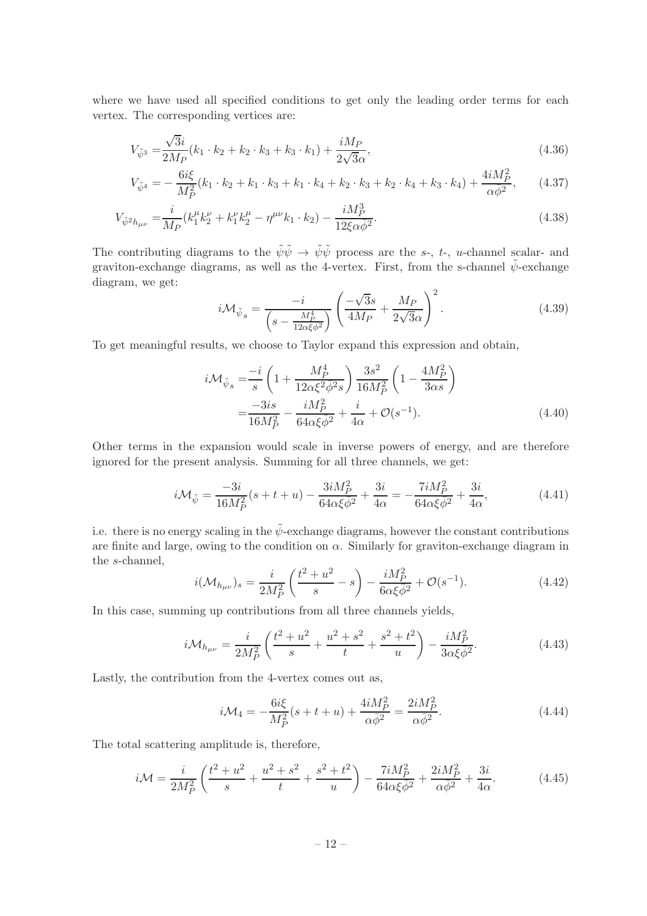where we have used all specified conditions to get only the leading order terms for each vertex. The corresponding vertices are:

$$
V_{\tilde{\psi}^3} = \frac{\sqrt{3}i}{2M_P}(k_1 \cdot k_2 + k_2 \cdot k_3 + k_3 \cdot k_1) + \frac{iM_P}{2\sqrt{3}\alpha},\tag{4.36}
$$

$$
V_{\tilde{\psi}^4} = -\frac{6i\xi}{M_P^2}(k_1 \cdot k_2 + k_1 \cdot k_3 + k_1 \cdot k_4 + k_2 \cdot k_3 + k_2 \cdot k_4 + k_3 \cdot k_4) + \frac{4iM_P^2}{\alpha \bar{\phi}^2},
$$
 (4.37)

$$
V_{\tilde{\psi}^2 h_{\mu\nu}} = \frac{i}{M_P} (k_1^{\mu} k_2^{\nu} + k_1^{\nu} k_2^{\mu} - \eta^{\mu\nu} k_1 \cdot k_2) - \frac{i M_P^3}{12 \xi \alpha \bar{\phi}^2}.
$$
\n(4.38)

The contributing diagrams to the  $\tilde{\psi}\tilde{\psi} \to \tilde{\psi}\tilde{\psi}$  process are the s-, t-, u-channel scalar- and graviton-exchange diagrams, as well as the 4-vertex. First, from the s-channel  $\tilde{\psi}$ -exchange diagram, we get:

$$
i\mathcal{M}_{\tilde{\psi}_s} = \frac{-i}{\left(s - \frac{M_P^4}{12\alpha\xi\phi^2}\right)} \left(\frac{-\sqrt{3}s}{4M_P} + \frac{M_P}{2\sqrt{3}\alpha}\right)^2.
$$
 (4.39)

To get meaningful results, we choose to Taylor expand this expression and obtain,

$$
i\mathcal{M}_{\tilde{\psi}_{s}} = \frac{-i}{s} \left( 1 + \frac{M_{P}^{4}}{12\alpha\xi^{2}\bar{\phi}^{2}s} \right) \frac{3s^{2}}{16M_{P}^{2}} \left( 1 - \frac{4M_{P}^{2}}{3\alpha s} \right)
$$
  
= 
$$
\frac{-3is}{16M_{P}^{2}} - \frac{iM_{P}^{2}}{64\alpha\xi\bar{\phi}^{2}} + \frac{i}{4\alpha} + \mathcal{O}(s^{-1}).
$$
 (4.40)

Other terms in the expansion would scale in inverse powers of energy, and are therefore ignored for the present analysis. Summing for all three channels, we get:

$$
i\mathcal{M}_{\tilde{\psi}} = \frac{-3i}{16M_P^2}(s+t+u) - \frac{3iM_P^2}{64\alpha\xi\bar{\phi}^2} + \frac{3i}{4\alpha} = -\frac{7iM_P^2}{64\alpha\xi\bar{\phi}^2} + \frac{3i}{4\alpha},\tag{4.41}
$$

i.e. there is no energy scaling in the  $\tilde{\psi}$ -exchange diagrams, however the constant contributions are finite and large, owing to the condition on  $\alpha$ . Similarly for graviton-exchange diagram in the s-channel,

$$
i(\mathcal{M}_{h_{\mu\nu}})_s = \frac{i}{2M_P^2} \left( \frac{t^2 + u^2}{s} - s \right) - \frac{iM_P^2}{6\alpha \xi \bar{\phi}^2} + \mathcal{O}(s^{-1}). \tag{4.42}
$$

In this case, summing up contributions from all three channels yields,

$$
i\mathcal{M}_{h_{\mu\nu}} = \frac{i}{2M_P^2} \left( \frac{t^2 + u^2}{s} + \frac{u^2 + s^2}{t} + \frac{s^2 + t^2}{u} \right) - \frac{iM_P^2}{3\alpha\xi\bar{\phi}^2}.
$$
 (4.43)

Lastly, the contribution from the 4-vertex comes out as,

$$
i\mathcal{M}_4 = -\frac{6i\xi}{M_P^2}(s+t+u) + \frac{4iM_P^2}{\alpha\bar{\phi}^2} = \frac{2iM_P^2}{\alpha\bar{\phi}^2}.
$$
\n(4.44)

The total scattering amplitude is, therefore,

$$
i\mathcal{M} = \frac{i}{2M_P^2} \left( \frac{t^2 + u^2}{s} + \frac{u^2 + s^2}{t} + \frac{s^2 + t^2}{u} \right) - \frac{7iM_P^2}{64\alpha\xi\bar{\phi}^2} + \frac{2iM_P^2}{\alpha\bar{\phi}^2} + \frac{3i}{4\alpha}.\tag{4.45}
$$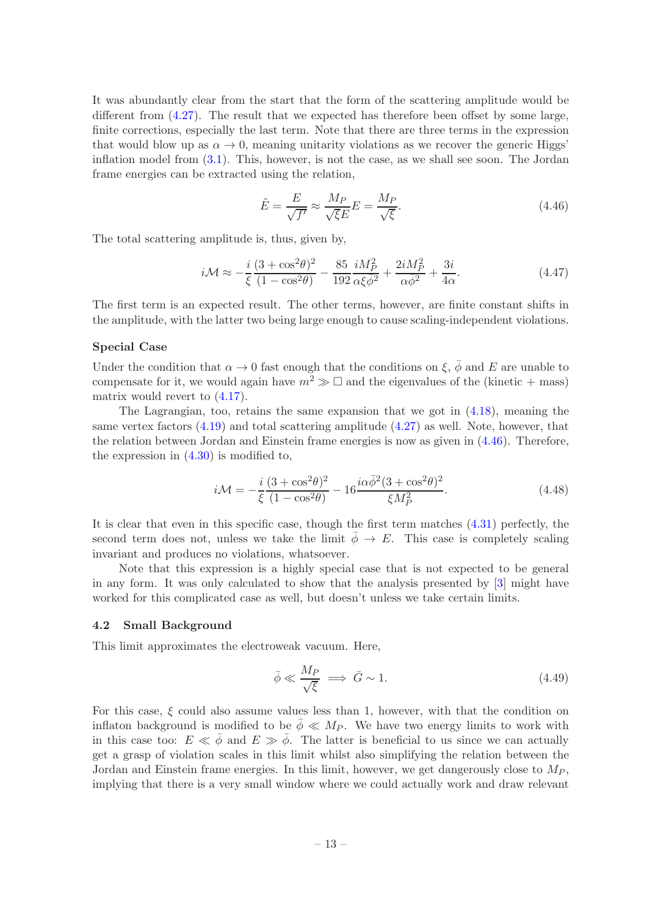It was abundantly clear from the start that the form of the scattering amplitude would be different from [\(4.27\)](#page-10-1). The result that we expected has therefore been offset by some large, finite corrections, especially the last term. Note that there are three terms in the expression that would blow up as  $\alpha \to 0$ , meaning unitarity violations as we recover the generic Higgs' inflation model from [\(3.1\)](#page-3-1). This, however, is not the case, as we shall see soon. The Jordan frame energies can be extracted using the relation,

<span id="page-13-1"></span>
$$
\tilde{E} = \frac{E}{\sqrt{f'}} \approx \frac{M_P}{\sqrt{\xi}E} = \frac{M_P}{\sqrt{\xi}}.
$$
\n(4.46)

The total scattering amplitude is, thus, given by,

$$
i\mathcal{M} \approx -\frac{i}{\xi} \frac{(3+\cos^2\theta)^2}{(1-\cos^2\theta)} - \frac{85}{192} \frac{iM_P^2}{\alpha\xi\bar{\phi}^2} + \frac{2iM_P^2}{\alpha\bar{\phi}^2} + \frac{3i}{4\alpha}.\tag{4.47}
$$

The first term is an expected result. The other terms, however, are finite constant shifts in the amplitude, with the latter two being large enough to cause scaling-independent violations.

#### Special Case

Under the condition that  $\alpha \to 0$  fast enough that the conditions on  $\xi$ ,  $\bar{\phi}$  and E are unable to compensate for it, we would again have  $m^2 \gg \Box$  and the eigenvalues of the (kinetic + mass) matrix would revert to  $(4.17)$ .

The Lagrangian, too, retains the same expansion that we got in  $(4.18)$ , meaning the same vertex factors [\(4.19\)](#page-10-2) and total scattering amplitude [\(4.27\)](#page-10-1) as well. Note, however, that the relation between Jordan and Einstein frame energies is now as given in [\(4.46\)](#page-13-1). Therefore, the expression in  $(4.30)$  is modified to,

$$
i\mathcal{M} = -\frac{i}{\xi} \frac{(3 + \cos^2 \theta)^2}{(1 - \cos^2 \theta)} - 16 \frac{i\alpha \bar{\phi}^2 (3 + \cos^2 \theta)^2}{\xi M_P^2}.
$$
 (4.48)

It is clear that even in this specific case, though the first term matches [\(4.31\)](#page-11-4) perfectly, the second term does not, unless we take the limit  $\bar{\phi} \rightarrow E$ . This case is completely scaling invariant and produces no violations, whatsoever.

Note that this expression is a highly special case that is not expected to be general in any form. It was only calculated to show that the analysis presented by [\[3\]](#page-19-2) might have worked for this complicated case as well, but doesn't unless we take certain limits.

#### <span id="page-13-0"></span>4.2 Small Background

This limit approximates the electroweak vacuum. Here,

$$
\bar{\phi} \ll \frac{M_P}{\sqrt{\xi}} \implies \bar{G} \sim 1. \tag{4.49}
$$

For this case,  $\xi$  could also assume values less than 1, however, with that the condition on inflaton background is modified to be  $\bar{\phi} \ll M_P$ . We have two energy limits to work with in this case too:  $E \ll \bar{\phi}$  and  $E \gg \bar{\phi}$ . The latter is beneficial to us since we can actually get a grasp of violation scales in this limit whilst also simplifying the relation between the Jordan and Einstein frame energies. In this limit, however, we get dangerously close to  $M_P$ , implying that there is a very small window where we could actually work and draw relevant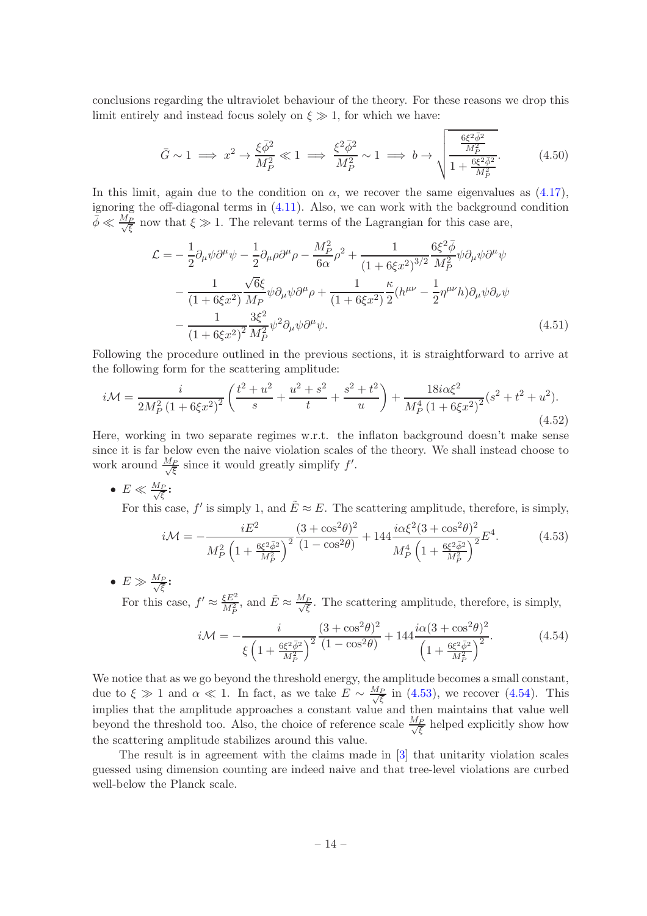conclusions regarding the ultraviolet behaviour of the theory. For these reasons we drop this limit entirely and instead focus solely on  $\xi \gg 1$ , for which we have:

$$
\bar{G} \sim 1 \implies x^2 \to \frac{\xi \bar{\phi}^2}{M_P^2} \ll 1 \implies \frac{\xi^2 \bar{\phi}^2}{M_P^2} \sim 1 \implies b \to \sqrt{\frac{\frac{6\xi^2 \bar{\phi}^2}{M_P^2}}{1 + \frac{6\xi^2 \bar{\phi}^2}{M_P^2}}}.
$$
(4.50)

In this limit, again due to the condition on  $\alpha$ , we recover the same eigenvalues as [\(4.17\)](#page-9-4), ignoring the off-diagonal terms in [\(4.11\)](#page-8-1). Also, we can work with the background condition  $\bar{\phi} \ll \frac{M_P}{\sqrt{\xi}}$  now that  $\xi \gg 1$ . The relevant terms of the Lagrangian for this case are,

<span id="page-14-2"></span>
$$
\mathcal{L} = -\frac{1}{2}\partial_{\mu}\psi\partial^{\mu}\psi - \frac{1}{2}\partial_{\mu}\rho\partial^{\mu}\rho - \frac{M_{P}^{2}}{6\alpha}\rho^{2} + \frac{1}{\left(1 + 6\xi x^{2}\right)^{3/2}}\frac{6\xi^{2}\bar{\phi}}{M_{P}^{2}}\psi\partial_{\mu}\psi\partial^{\mu}\psi
$$

$$
-\frac{1}{\left(1 + 6\xi x^{2}\right)}\frac{\sqrt{6}\xi}{M_{P}}\psi\partial_{\mu}\psi\partial^{\mu}\rho + \frac{1}{\left(1 + 6\xi x^{2}\right)}\frac{\kappa}{2}\left(h^{\mu\nu} - \frac{1}{2}\eta^{\mu\nu}h\right)\partial_{\mu}\psi\partial_{\nu}\psi
$$

$$
-\frac{1}{\left(1 + 6\xi x^{2}\right)^{2}}\frac{3\xi^{2}}{M_{P}^{2}}\psi^{2}\partial_{\mu}\psi\partial^{\mu}\psi.
$$
(4.51)

Following the procedure outlined in the previous sections, it is straightforward to arrive at the following form for the scattering amplitude:

$$
i\mathcal{M} = \frac{i}{2M_P^2 \left(1 + 6\xi x^2\right)^2} \left(\frac{t^2 + u^2}{s} + \frac{u^2 + s^2}{t} + \frac{s^2 + t^2}{u}\right) + \frac{18i\alpha\xi^2}{M_P^4 \left(1 + 6\xi x^2\right)^2} (s^2 + t^2 + u^2).
$$
\n(4.52)

Here, working in two separate regimes w.r.t. the inflaton background doesn't make sense since it is far below even the naive violation scales of the theory. We shall instead choose to work around  $\frac{M_P}{\sqrt{\xi}}$  since it would greatly simplify  $f'$ .

• 
$$
E \ll \frac{M_P}{\sqrt{\xi}}
$$
:

For this case,  $f'$  is simply 1, and  $\tilde{E} \approx E$ . The scattering amplitude, therefore, is simply,

<span id="page-14-0"></span>
$$
i\mathcal{M} = -\frac{iE^2}{M_P^2 \left(1 + \frac{6\xi^2 \bar{\phi}^2}{M_P^2}\right)^2} \frac{(3 + \cos^2\theta)^2}{(1 - \cos^2\theta)} + 144 \frac{i\alpha \xi^2 (3 + \cos^2\theta)^2}{M_P^4 \left(1 + \frac{6\xi^2 \bar{\phi}^2}{M_P^2}\right)^2} E^4. \tag{4.53}
$$

 $\bullet\; E \gg \frac{M_P}{\sqrt{\xi}}$ :

For this case,  $f' \approx \frac{\xi E^2}{M_P^2}$  $\frac{\xi E^2}{M_P^2}$ , and  $\tilde{E} \approx \frac{M_P}{\sqrt{\xi}}$ . The scattering amplitude, therefore, is simply,

<span id="page-14-1"></span>
$$
i\mathcal{M} = -\frac{i}{\xi \left(1 + \frac{6\xi^2 \bar{\phi}^2}{M_P^2}\right)^2} \frac{(3 + \cos^2\theta)^2}{(1 - \cos^2\theta)} + 144 \frac{i\alpha(3 + \cos^2\theta)^2}{\left(1 + \frac{6\xi^2 \bar{\phi}^2}{M_P^2}\right)^2}.
$$
(4.54)

We notice that as we go beyond the threshold energy, the amplitude becomes a small constant, due to  $\xi \gg 1$  and  $\alpha \ll 1$ . In fact, as we take  $E \sim \frac{M_P}{\sqrt{\xi}}$  in [\(4.53\)](#page-14-0), we recover [\(4.54\)](#page-14-1). This implies that the amplitude approaches a constant value and then maintains that value well beyond the threshold too. Also, the choice of reference scale  $\frac{M_P}{\sqrt{\xi}}$  helped explicitly show how the scattering amplitude stabilizes around this value.

The result is in agreement with the claims made in [\[3\]](#page-19-2) that unitarity violation scales guessed using dimension counting are indeed naive and that tree-level violations are curbed well-below the Planck scale.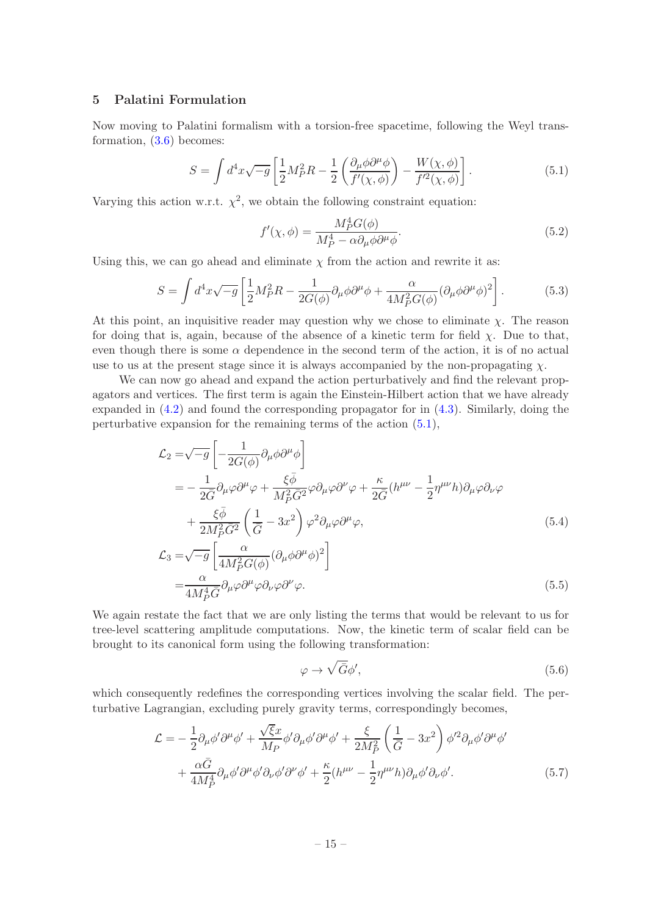# <span id="page-15-0"></span>5 Palatini Formulation

Now moving to Palatini formalism with a torsion-free spacetime, following the Weyl transformation,  $(3.6)$  becomes:

<span id="page-15-1"></span>
$$
S = \int d^4x \sqrt{-g} \left[ \frac{1}{2} M_P^2 R - \frac{1}{2} \left( \frac{\partial_\mu \phi \partial^\mu \phi}{f'(\chi, \phi)} \right) - \frac{W(\chi, \phi)}{f'^2(\chi, \phi)} \right]. \tag{5.1}
$$

Varying this action w.r.t.  $\chi^2$ , we obtain the following constraint equation:

<span id="page-15-3"></span>
$$
f'(\chi,\phi) = \frac{M_P^4 G(\phi)}{M_P^4 - \alpha \partial_\mu \phi \partial^\mu \phi}.
$$
\n(5.2)

Using this, we can go ahead and eliminate  $\chi$  from the action and rewrite it as:

<span id="page-15-2"></span>
$$
S = \int d^4x \sqrt{-g} \left[ \frac{1}{2} M_P^2 R - \frac{1}{2G(\phi)} \partial_\mu \phi \partial^\mu \phi + \frac{\alpha}{4M_P^2 G(\phi)} (\partial_\mu \phi \partial^\mu \phi)^2 \right].
$$
 (5.3)

At this point, an inquisitive reader may question why we chose to eliminate  $\chi$ . The reason for doing that is, again, because of the absence of a kinetic term for field  $\chi$ . Due to that, even though there is some  $\alpha$  dependence in the second term of the action, it is of no actual use to us at the present stage since it is always accompanied by the non-propagating  $\chi$ .

We can now go ahead and expand the action perturbatively and find the relevant propagators and vertices. The first term is again the Einstein-Hilbert action that we have already expanded in [\(4.2\)](#page-6-0) and found the corresponding propagator for in [\(4.3\)](#page-6-2). Similarly, doing the perturbative expansion for the remaining terms of the action [\(5.1\)](#page-15-1),

$$
\mathcal{L}_{2} = \sqrt{-g} \left[ -\frac{1}{2G(\phi)} \partial_{\mu} \phi \partial^{\mu} \phi \right]
$$
\n
$$
= -\frac{1}{2\overline{G}} \partial_{\mu} \varphi \partial^{\mu} \varphi + \frac{\xi \bar{\phi}}{M_{P}^{2} \overline{G}^{2}} \varphi \partial_{\mu} \varphi \partial^{\nu} \varphi + \frac{\kappa}{2\overline{G}} (h^{\mu\nu} - \frac{1}{2} \eta^{\mu\nu} h) \partial_{\mu} \varphi \partial_{\nu} \varphi
$$
\n
$$
+ \frac{\xi \bar{\phi}}{2M_{P}^{2} \overline{G}^{2}} \left( \frac{1}{\overline{G}} - 3x^{2} \right) \varphi^{2} \partial_{\mu} \varphi \partial^{\mu} \varphi,
$$
\n
$$
\mathcal{L}_{3} = \sqrt{-g} \left[ \frac{\alpha}{4M_{P}^{2} G(\phi)} (\partial_{\mu} \phi \partial^{\mu} \phi)^{2} \right]
$$
\n(5.4)

$$
=\frac{\alpha}{4M_P^4 \bar{G}} \partial_\mu \varphi \partial^\mu \varphi \partial_\nu \varphi \partial^\nu \varphi.
$$
\n(5.5)

We again restate the fact that we are only listing the terms that would be relevant to us for tree-level scattering amplitude computations. Now, the kinetic term of scalar field can be brought to its canonical form using the following transformation:

$$
\varphi \to \sqrt{\bar{G}}\phi',\tag{5.6}
$$

which consequently redefines the corresponding vertices involving the scalar field. The perturbative Lagrangian, excluding purely gravity terms, correspondingly becomes,

$$
\mathcal{L} = -\frac{1}{2} \partial_{\mu} \phi' \partial^{\mu} \phi' + \frac{\sqrt{\xi}x}{M_P} \phi' \partial_{\mu} \phi' \partial^{\mu} \phi' + \frac{\xi}{2M_P^2} \left( \frac{1}{\bar{G}} - 3x^2 \right) \phi'^2 \partial_{\mu} \phi' \partial^{\mu} \phi' + \frac{\alpha \bar{G}}{4M_P^4} \partial_{\mu} \phi' \partial^{\mu} \phi' \partial_{\nu} \phi' \partial^{\nu} \phi' + \frac{\kappa}{2} (h^{\mu\nu} - \frac{1}{2} \eta^{\mu\nu} h) \partial_{\mu} \phi' \partial_{\nu} \phi'.
$$
 (5.7)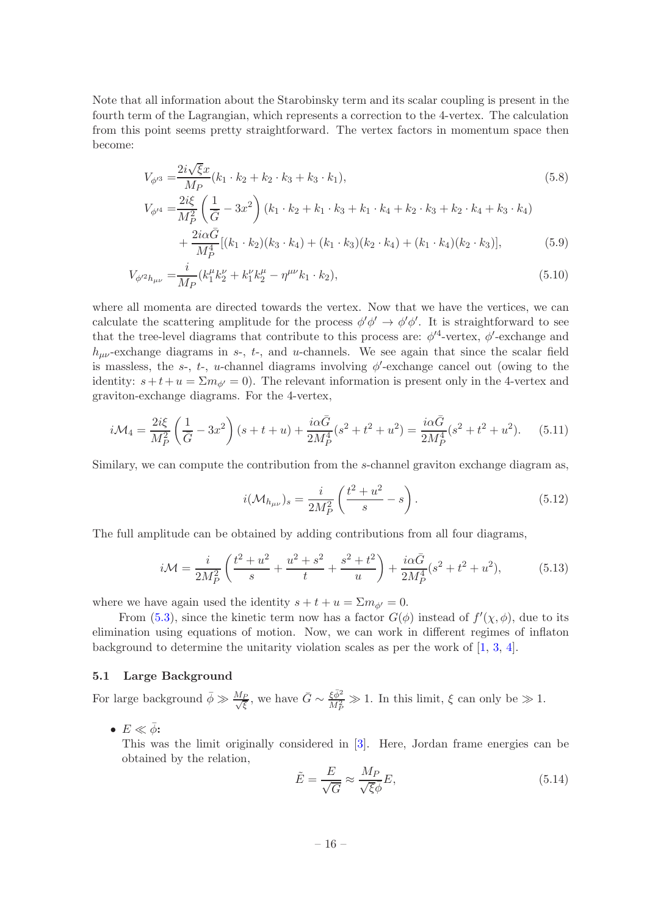Note that all information about the Starobinsky term and its scalar coupling is present in the fourth term of the Lagrangian, which represents a correction to the 4-vertex. The calculation from this point seems pretty straightforward. The vertex factors in momentum space then become:

$$
V_{\phi'^3} = \frac{2i\sqrt{\xi}x}{M_P}(k_1 \cdot k_2 + k_2 \cdot k_3 + k_3 \cdot k_1),\tag{5.8}
$$

$$
V_{\phi'^4} = \frac{2i\xi}{M_P^2} \left(\frac{1}{\bar{G}} - 3x^2\right) \left(k_1 \cdot k_2 + k_1 \cdot k_3 + k_1 \cdot k_4 + k_2 \cdot k_3 + k_2 \cdot k_4 + k_3 \cdot k_4\right)
$$
  
+ 
$$
\frac{2i\alpha\bar{G}}{[k_1 \cdot k_2] [k_3 \cdot k_4] + [k_1 \cdot k_3] [k_2 \cdot k_4] + [k_3 \cdot k_4] [k_3 \cdot k_4] [k_2 \cdot k_5] [k_4 \cdot k_5] [k_5 \cdot k_6] + [k_4 \cdot k_4] [k_4 \cdot k_5] [k_5 \cdot k_6] [k_5 \cdot k_6] + [k_5 \cdot k_4] [k_5 \cdot k_6] [k_6 \cdot k_7] [k_7 \cdot k_6] + [k_6 \cdot k_4] [k_7 \cdot k_6] [k_7 \cdot k_7] [k_8 \cdot k_8] + [k_7 \cdot k_4] [k_8 \cdot k_9] [k_9 \cdot k_9] [k_9 \cdot k_9] + [k_8 \cdot k_5] [k_9 \cdot k_9] [k_9 \cdot k_9] [k_9 \cdot k_9] [k_9 \cdot k_9] + [k_9 \cdot k_9] [k_9 \cdot k_9] [k_9 \cdot k_9] [k_9 \cdot k_9] [k_9 \cdot k_9] + [k_9 \cdot k_9] [k_9 \cdot k_9] [k_9 \cdot k_9] [k_9 \cdot k_9] [k_9 \cdot k_9] + [k_9 \cdot k_9] [k_9 \cdot k_9] [k_9 \cdot k_9] [k_9 \cdot k_9] [k_9 \cdot k_9] [k_9 \cdot k_9] [k_9 \cdot k_9] [k_9 \cdot k_9] [k_9 \cdot k_9] [k_9 \cdot k_9] [k_9 \cdot k_9] [k_9 \cdot k_9] [k_9 \cdot k_9] [k_9 \cdot k_9] [k_9 \cdot k_9] [k_9 \cdot k_9] [k_9 \cdot k_9] [k_9 \cdot k_9] [k_9 \cdot k_9] [k_9 \cdot k_9] [k_9 \cdot k_9] [k_9 \cdot k_9] [k_9 \cdot k
$$

$$
+\frac{2k\pi}{M_P^4}[(k_1 \cdot k_2)(k_3 \cdot k_4) + (k_1 \cdot k_3)(k_2 \cdot k_4) + (k_1 \cdot k_4)(k_2 \cdot k_3)],\tag{5.9}
$$

$$
V_{\phi^{\prime 2}h_{\mu\nu}} = \frac{i}{M_P} (k_1^{\mu} k_2^{\nu} + k_1^{\nu} k_2^{\mu} - \eta^{\mu\nu} k_1 \cdot k_2), \tag{5.10}
$$

where all momenta are directed towards the vertex. Now that we have the vertices, we can calculate the scattering amplitude for the process  $\phi' \phi' \rightarrow \phi' \phi'$ . It is straightforward to see that the tree-level diagrams that contribute to this process are:  $\phi'^4$ -vertex,  $\phi'$ -exchange and  $h_{\mu\nu}$ -exchange diagrams in s-, t-, and u-channels. We see again that since the scalar field is massless, the s-, t-, u-channel diagrams involving  $\phi'$ -exchange cancel out (owing to the identity:  $s+t+u = \sum m_{\phi'} = 0$ . The relevant information is present only in the 4-vertex and graviton-exchange diagrams. For the 4-vertex,

$$
i\mathcal{M}_4 = \frac{2i\xi}{M_P^2} \left(\frac{1}{\bar{G}} - 3x^2\right) (s+t+u) + \frac{i\alpha \bar{G}}{2M_P^4} (s^2 + t^2 + u^2) = \frac{i\alpha \bar{G}}{2M_P^4} (s^2 + t^2 + u^2). \tag{5.11}
$$

Similary, we can compute the contribution from the s-channel graviton exchange diagram as,

$$
i(\mathcal{M}_{h_{\mu\nu}})_s = \frac{i}{2M_P^2} \left( \frac{t^2 + u^2}{s} - s \right). \tag{5.12}
$$

The full amplitude can be obtained by adding contributions from all four diagrams,

$$
i\mathcal{M} = \frac{i}{2M_P^2} \left( \frac{t^2 + u^2}{s} + \frac{u^2 + s^2}{t} + \frac{s^2 + t^2}{u} \right) + \frac{i\alpha \bar{G}}{2M_P^4} (s^2 + t^2 + u^2),\tag{5.13}
$$

where we have again used the identity  $s + t + u = \sum m_{\phi'} = 0$ .

From  $(5.3)$ , since the kinetic term now has a factor  $G(\phi)$  instead of  $f'(\chi,\phi)$ , due to its elimination using equations of motion. Now, we can work in different regimes of inflaton background to determine the unitarity violation scales as per the work of  $[1, 3, 4]$  $[1, 3, 4]$  $[1, 3, 4]$  $[1, 3, 4]$  $[1, 3, 4]$ .

# <span id="page-16-0"></span>5.1 Large Background

For large background  $\bar{\phi} \gg \frac{M_P}{\sqrt{\xi}}$ , we have  $\bar{G} \sim \frac{\xi \bar{\phi}^2}{M_P^2}$  $\frac{\xi \varphi}{M_P^2} \gg 1$ . In this limit,  $\xi$  can only be  $\gg 1$ .

•  $E \ll \bar{\phi}$ :

This was the limit originally considered in [\[3](#page-19-2)]. Here, Jordan frame energies can be obtained by the relation,

$$
\tilde{E} = \frac{E}{\sqrt{G}} \approx \frac{M_P}{\sqrt{\xi}\bar{\phi}}E,\tag{5.14}
$$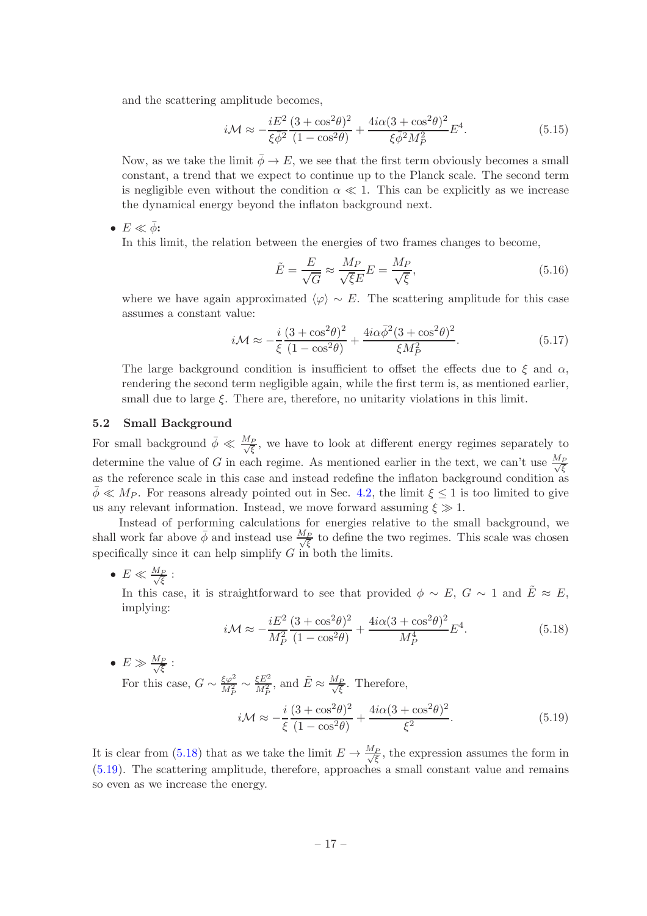and the scattering amplitude becomes,

$$
i\mathcal{M} \approx -\frac{iE^2}{\xi\bar{\phi}^2} \frac{(3+\cos^2\theta)^2}{(1-\cos^2\theta)} + \frac{4i\alpha(3+\cos^2\theta)^2}{\xi\bar{\phi}^2 M_P^2} E^4.
$$
 (5.15)

Now, as we take the limit  $\bar{\phi} \to E$ , we see that the first term obviously becomes a small constant, a trend that we expect to continue up to the Planck scale. The second term is negligible even without the condition  $\alpha \ll 1$ . This can be explicitly as we increase the dynamical energy beyond the inflaton background next.

•  $E \ll \bar{\phi}$ :

In this limit, the relation between the energies of two frames changes to become,

$$
\tilde{E} = \frac{E}{\sqrt{G}} \approx \frac{M_P}{\sqrt{\xi}E} E = \frac{M_P}{\sqrt{\xi}},\tag{5.16}
$$

where we have again approximated  $\langle \varphi \rangle \sim E$ . The scattering amplitude for this case assumes a constant value:

$$
i\mathcal{M} \approx -\frac{i}{\xi} \frac{(3 + \cos^2 \theta)^2}{(1 - \cos^2 \theta)} + \frac{4i\alpha \bar{\phi}^2 (3 + \cos^2 \theta)^2}{\xi M_P^2}.
$$
 (5.17)

The large background condition is insufficient to offset the effects due to  $\xi$  and  $\alpha$ , rendering the second term negligible again, while the first term is, as mentioned earlier, small due to large  $\xi$ . There are, therefore, no unitarity violations in this limit.

# <span id="page-17-0"></span>5.2 Small Background

For small background  $\bar{\phi} \ll \frac{M_P}{\sqrt{\xi}}$ , we have to look at different energy regimes separately to determine the value of G in each regime. As mentioned earlier in the text, we can't use  $\frac{M_F}{\sqrt{\xi}}$ as the reference scale in this case and instead redefine the inflaton background condition as  $\bar{\phi} \ll M_P$ . For reasons already pointed out in Sec. [4.2,](#page-13-0) the limit  $\xi \leq 1$  is too limited to give us any relevant information. Instead, we move forward assuming  $\xi \gg 1$ .

Instead of performing calculations for energies relative to the small background, we shall work far above  $\bar{\phi}$  and instead use  $\frac{M_P}{\sqrt{\xi}}$  to define the two regimes. This scale was chosen specifically since it can help simplify  $G$  in both the limits.

 $\bullet\; E \ll \frac{M_P}{\sqrt{\xi}}$  :

In this case, it is straightforward to see that provided  $\phi \sim E, G \sim 1$  and  $\tilde{E} \approx E$ , implying:

<span id="page-17-1"></span>
$$
i\mathcal{M} \approx -\frac{iE^2}{M_P^2} \frac{(3 + \cos^2 \theta)^2}{(1 - \cos^2 \theta)} + \frac{4i\alpha (3 + \cos^2 \theta)^2}{M_P^4} E^4.
$$
 (5.18)

 $\bullet\; E \gg \frac{M_P}{\sqrt{\xi}}$  :

For this case,  $G \sim \frac{\xi \varphi^2}{M_P^2}$  $\frac{37}{M_P^2} \sim$ ξ $E^2$  $\frac{\xi E^2}{M_P^2}$ , and  $\tilde{E} \approx \frac{M_P}{\sqrt{\xi}}$ . Therefore,

<span id="page-17-2"></span>
$$
i\mathcal{M} \approx -\frac{i}{\xi} \frac{(3 + \cos^2 \theta)^2}{(1 - \cos^2 \theta)} + \frac{4i\alpha (3 + \cos^2 \theta)^2}{\xi^2}.
$$
 (5.19)

It is clear from [\(5.18\)](#page-17-1) that as we take the limit  $E \to \frac{M_P}{\sqrt{\xi}}$ , the expression assumes the form in [\(5.19\)](#page-17-2). The scattering amplitude, therefore, approaches a small constant value and remains so even as we increase the energy.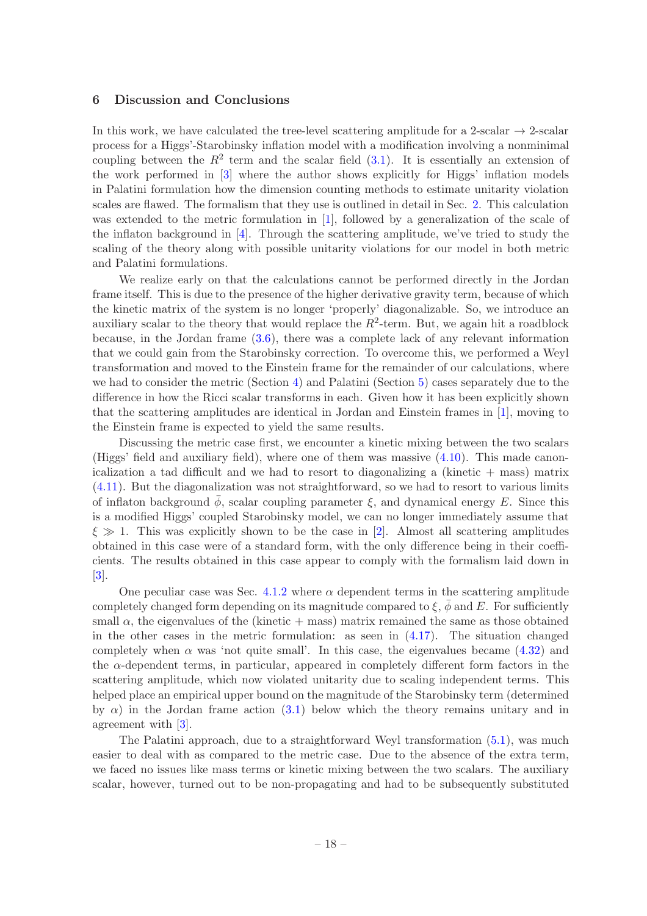## <span id="page-18-0"></span>6 Discussion and Conclusions

In this work, we have calculated the tree-level scattering amplitude for a 2-scalar  $\rightarrow$  2-scalar process for a Higgs'-Starobinsky inflation model with a modification involving a nonminimal coupling between the  $R^2$  term and the scalar field  $(3.1)$ . It is essentially an extension of the work performed in [\[3\]](#page-19-2) where the author shows explicitly for Higgs' inflation models in Palatini formulation how the dimension counting methods to estimate unitarity violation scales are flawed. The formalism that they use is outlined in detail in Sec. [2.](#page-2-0) This calculation was extended to the metric formulation in [\[1](#page-19-0)], followed by a generalization of the scale of the inflaton background in  $[4]$ . Through the scattering amplitude, we've tried to study the scaling of the theory along with possible unitarity violations for our model in both metric and Palatini formulations.

We realize early on that the calculations cannot be performed directly in the Jordan frame itself. This is due to the presence of the higher derivative gravity term, because of which the kinetic matrix of the system is no longer 'properly' diagonalizable. So, we introduce an auxiliary scalar to the theory that would replace the  $R^2$ -term. But, we again hit a roadblock because, in the Jordan frame [\(3.6\)](#page-5-1), there was a complete lack of any relevant information that we could gain from the Starobinsky correction. To overcome this, we performed a Weyl transformation and moved to the Einstein frame for the remainder of our calculations, where we had to consider the metric (Section [4\)](#page-5-0) and Palatini (Section [5\)](#page-15-0) cases separately due to the difference in how the Ricci scalar transforms in each. Given how it has been explicitly shown that the scattering amplitudes are identical in Jordan and Einstein frames in [\[1](#page-19-0)], moving to the Einstein frame is expected to yield the same results.

Discussing the metric case first, we encounter a kinetic mixing between the two scalars (Higgs' field and auxiliary field), where one of them was massive [\(4.10\)](#page-8-0). This made canonicalization a tad difficult and we had to resort to diagonalizing a (kinetic  $+$  mass) matrix [\(4.11\)](#page-8-1). But the diagonalization was not straightforward, so we had to resort to various limits of inflaton background  $\phi$ , scalar coupling parameter  $\xi$ , and dynamical energy E. Since this is a modified Higgs' coupled Starobinsky model, we can no longer immediately assume that  $\xi \gg 1$ . This was explicitly shown to be the case in [\[2](#page-19-1)]. Almost all scattering amplitudes obtained in this case were of a standard form, with the only difference being in their coefficients. The results obtained in this case appear to comply with the formalism laid down in [\[3](#page-19-2)].

One peculiar case was Sec. [4.1.2](#page-11-0) where  $\alpha$  dependent terms in the scattering amplitude completely changed form depending on its magnitude compared to  $\xi$ ,  $\phi$  and E. For sufficiently small  $\alpha$ , the eigenvalues of the (kinetic + mass) matrix remained the same as those obtained in the other cases in the metric formulation: as seen in  $(4.17)$ . The situation changed completely when  $\alpha$  was 'not quite small'. In this case, the eigenvalues became [\(4.32\)](#page-11-3) and the  $\alpha$ -dependent terms, in particular, appeared in completely different form factors in the scattering amplitude, which now violated unitarity due to scaling independent terms. This helped place an empirical upper bound on the magnitude of the Starobinsky term (determined by  $\alpha$ ) in the Jordan frame action [\(3.1\)](#page-3-1) below which the theory remains unitary and in agreement with [\[3\]](#page-19-2).

The Palatini approach, due to a straightforward Weyl transformation [\(5.1\)](#page-15-1), was much easier to deal with as compared to the metric case. Due to the absence of the extra term, we faced no issues like mass terms or kinetic mixing between the two scalars. The auxiliary scalar, however, turned out to be non-propagating and had to be subsequently substituted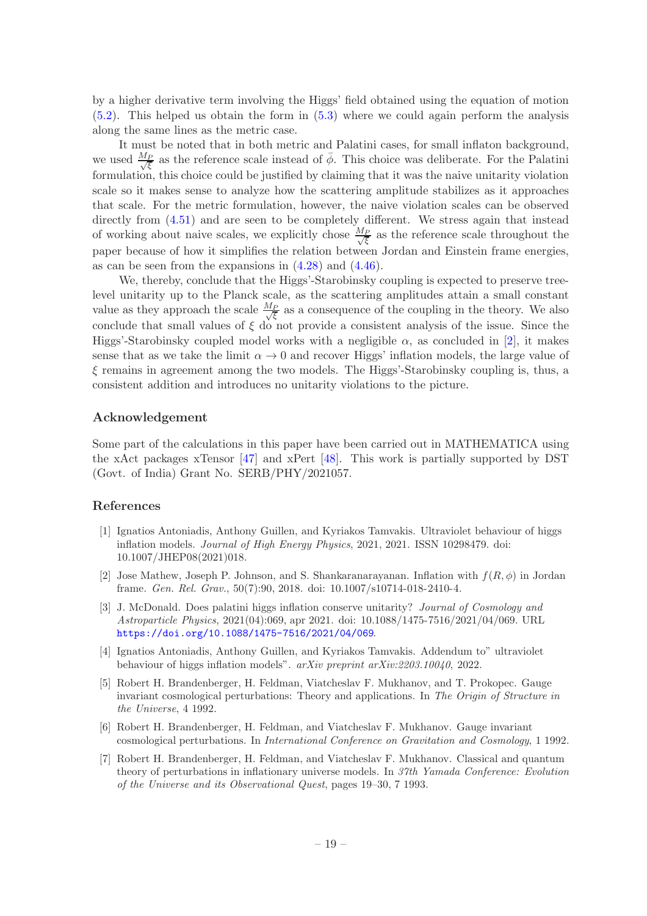by a higher derivative term involving the Higgs' field obtained using the equation of motion [\(5.2\)](#page-15-3). This helped us obtain the form in [\(5.3\)](#page-15-2) where we could again perform the analysis along the same lines as the metric case.

It must be noted that in both metric and Palatini cases, for small inflaton background, we used  $\frac{M_P}{\sqrt{\xi}}$  as the reference scale instead of  $\bar{\phi}$ . This choice was deliberate. For the Palatini formulation, this choice could be justified by claiming that it was the naive unitarity violation scale so it makes sense to analyze how the scattering amplitude stabilizes as it approaches that scale. For the metric formulation, however, the naive violation scales can be observed directly from  $(4.51)$  and are seen to be completely different. We stress again that instead of working about naive scales, we explicitly chose  $\frac{M_P}{\sqrt{\xi}}$  as the reference scale throughout the paper because of how it simplifies the relation between Jordan and Einstein frame energies, as can be seen from the expansions in  $(4.28)$  and  $(4.46)$ .

We, thereby, conclude that the Higgs'-Starobinsky coupling is expected to preserve treelevel unitarity up to the Planck scale, as the scattering amplitudes attain a small constant value as they approach the scale  $\frac{M_P}{\sqrt{\xi}}$  as a consequence of the coupling in the theory. We also conclude that small values of  $\xi$  do not provide a consistent analysis of the issue. Since the Higgs'-Starobinsky coupled model works with a negligible  $\alpha$ , as concluded in [\[2\]](#page-19-1), it makes sense that as we take the limit  $\alpha \to 0$  and recover Higgs' inflation models, the large value of  $\xi$  remains in agreement among the two models. The Higgs'-Starobinsky coupling is, thus, a consistent addition and introduces no unitarity violations to the picture.

# Acknowledgement

Some part of the calculations in this paper have been carried out in MATHEMATICA using the xAct packages xTensor [\[47](#page-21-16)] and xPert [\[48\]](#page-21-17). This work is partially supported by DST (Govt. of India) Grant No. SERB/PHY/2021057.

## References

- <span id="page-19-0"></span>[1] Ignatios Antoniadis, Anthony Guillen, and Kyriakos Tamvakis. Ultraviolet behaviour of higgs inflation models. *Journal of High Energy Physics*, 2021, 2021. ISSN 10298479. doi: 10.1007/JHEP08(2021)018.
- <span id="page-19-1"></span>[2] Jose Mathew, Joseph P. Johnson, and S. Shankaranarayanan. Inflation with  $f(R, \phi)$  in Jordan frame. *Gen. Rel. Grav.*, 50(7):90, 2018. doi: 10.1007/s10714-018-2410-4.
- <span id="page-19-2"></span>[3] J. McDonald. Does palatini higgs inflation conserve unitarity? *Journal of Cosmology and Astroparticle Physics*, 2021(04):069, apr 2021. doi: 10.1088/1475-7516/2021/04/069. URL <https://doi.org/10.1088/1475-7516/2021/04/069>.
- <span id="page-19-3"></span>[4] Ignatios Antoniadis, Anthony Guillen, and Kyriakos Tamvakis. Addendum to" ultraviolet behaviour of higgs inflation models". *arXiv preprint arXiv:2203.10040*, 2022.
- <span id="page-19-4"></span>[5] Robert H. Brandenberger, H. Feldman, Viatcheslav F. Mukhanov, and T. Prokopec. Gauge invariant cosmological perturbations: Theory and applications. In *The Origin of Structure in the Universe*, 4 1992.
- [6] Robert H. Brandenberger, H. Feldman, and Viatcheslav F. Mukhanov. Gauge invariant cosmological perturbations. In *International Conference on Gravitation and Cosmology*, 1 1992.
- [7] Robert H. Brandenberger, H. Feldman, and Viatcheslav F. Mukhanov. Classical and quantum theory of perturbations in inflationary universe models. In *37th Yamada Conference: Evolution of the Universe and its Observational Quest*, pages 19–30, 7 1993.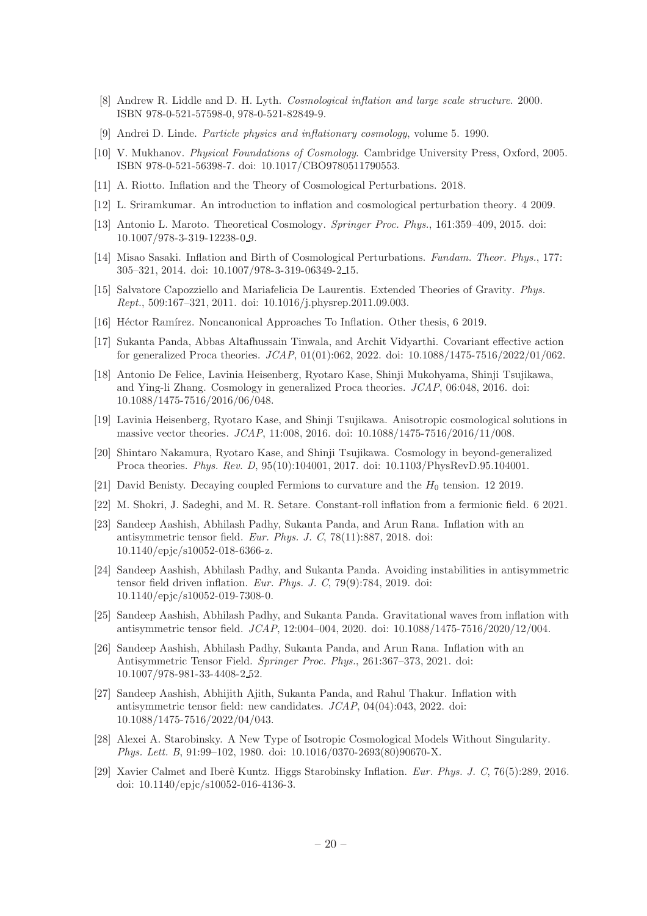- [8] Andrew R. Liddle and D. H. Lyth. *Cosmological inflation and large scale structure*. 2000. ISBN 978-0-521-57598-0, 978-0-521-82849-9.
- [9] Andrei D. Linde. *Particle physics and inflationary cosmology*, volume 5. 1990.
- [10] V. Mukhanov. *Physical Foundations of Cosmology*. Cambridge University Press, Oxford, 2005. ISBN 978-0-521-56398-7. doi: 10.1017/CBO9780511790553.
- [11] A. Riotto. Inflation and the Theory of Cosmological Perturbations. 2018.
- [12] L. Sriramkumar. An introduction to inflation and cosmological perturbation theory. 4 2009.
- [13] Antonio L. Maroto. Theoretical Cosmology. *Springer Proc. Phys.*, 161:359–409, 2015. doi: 10.1007/978-3-319-12238-0 9.
- <span id="page-20-0"></span>[14] Misao Sasaki. Inflation and Birth of Cosmological Perturbations. *Fundam. Theor. Phys.*, 177: 305–321, 2014. doi: 10.1007/978-3-319-06349-2 15.
- <span id="page-20-1"></span>[15] Salvatore Capozziello and Mariafelicia De Laurentis. Extended Theories of Gravity. *Phys. Rept.*, 509:167–321, 2011. doi: 10.1016/j.physrep.2011.09.003.
- <span id="page-20-2"></span>[16] Héctor Ramírez. Noncanonical Approaches To Inflation. Other thesis, 6 2019.
- <span id="page-20-3"></span>[17] Sukanta Panda, Abbas Altafhussain Tinwala, and Archit Vidyarthi. Covariant effective action for generalized Proca theories. *JCAP*, 01(01):062, 2022. doi: 10.1088/1475-7516/2022/01/062.
- [18] Antonio De Felice, Lavinia Heisenberg, Ryotaro Kase, Shinji Mukohyama, Shinji Tsujikawa, and Ying-li Zhang. Cosmology in generalized Proca theories. *JCAP*, 06:048, 2016. doi: 10.1088/1475-7516/2016/06/048.
- [19] Lavinia Heisenberg, Ryotaro Kase, and Shinji Tsujikawa. Anisotropic cosmological solutions in massive vector theories. *JCAP*, 11:008, 2016. doi: 10.1088/1475-7516/2016/11/008.
- <span id="page-20-4"></span>[20] Shintaro Nakamura, Ryotaro Kase, and Shinji Tsujikawa. Cosmology in beyond-generalized Proca theories. *Phys. Rev. D*, 95(10):104001, 2017. doi: 10.1103/PhysRevD.95.104001.
- <span id="page-20-5"></span>[21] David Benisty. Decaying coupled Fermions to curvature and the  $H_0$  tension. 12 2019.
- <span id="page-20-6"></span>[22] M. Shokri, J. Sadeghi, and M. R. Setare. Constant-roll inflation from a fermionic field. 6 2021.
- <span id="page-20-7"></span>[23] Sandeep Aashish, Abhilash Padhy, Sukanta Panda, and Arun Rana. Inflation with an antisymmetric tensor field. *Eur. Phys. J. C*, 78(11):887, 2018. doi: 10.1140/epjc/s10052-018-6366-z.
- [24] Sandeep Aashish, Abhilash Padhy, and Sukanta Panda. Avoiding instabilities in antisymmetric tensor field driven inflation. *Eur. Phys. J. C*, 79(9):784, 2019. doi: 10.1140/epjc/s10052-019-7308-0.
- [25] Sandeep Aashish, Abhilash Padhy, and Sukanta Panda. Gravitational waves from inflation with antisymmetric tensor field. *JCAP*, 12:004–004, 2020. doi: 10.1088/1475-7516/2020/12/004.
- [26] Sandeep Aashish, Abhilash Padhy, Sukanta Panda, and Arun Rana. Inflation with an Antisymmetric Tensor Field. *Springer Proc. Phys.*, 261:367–373, 2021. doi: 10.1007/978-981-33-4408-2 52.
- <span id="page-20-8"></span>[27] Sandeep Aashish, Abhijith Ajith, Sukanta Panda, and Rahul Thakur. Inflation with antisymmetric tensor field: new candidates. *JCAP*, 04(04):043, 2022. doi: 10.1088/1475-7516/2022/04/043.
- <span id="page-20-9"></span>[28] Alexei A. Starobinsky. A New Type of Isotropic Cosmological Models Without Singularity. *Phys. Lett. B*, 91:99–102, 1980. doi: 10.1016/0370-2693(80)90670-X.
- <span id="page-20-10"></span>[29] Xavier Calmet and Iberˆe Kuntz. Higgs Starobinsky Inflation. *Eur. Phys. J. C*, 76(5):289, 2016. doi: 10.1140/epjc/s10052-016-4136-3.